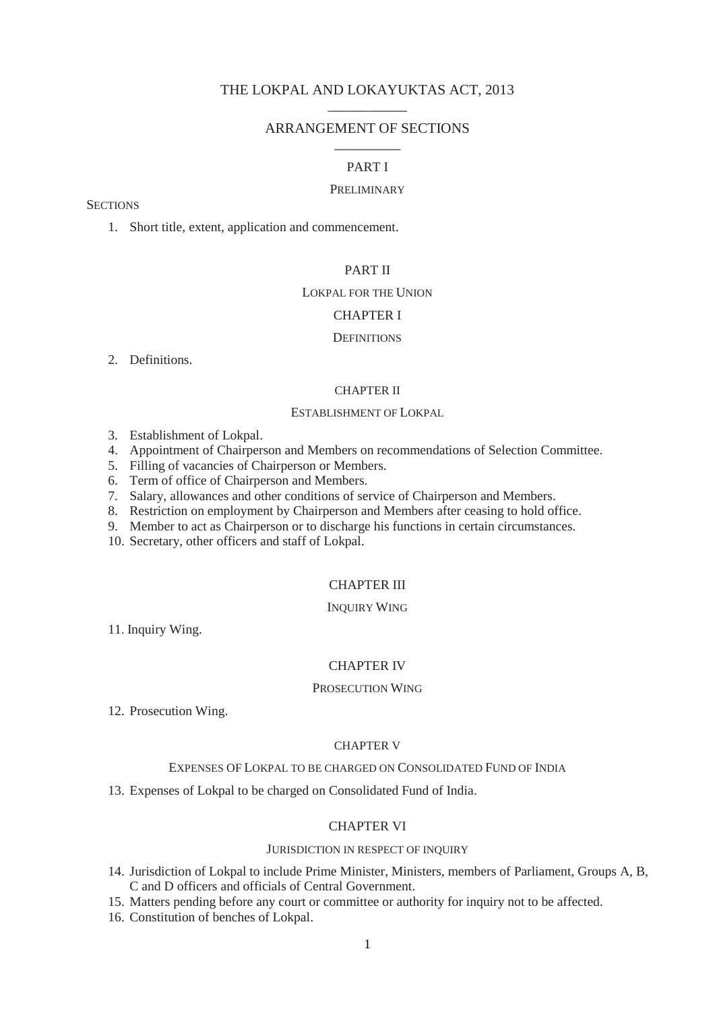# THE LOKPAL AND LOKAYUKTAS ACT, 2013 \_\_\_\_\_\_\_\_\_\_\_\_

# ARRANGEMENT OF SECTIONS \_\_\_\_\_\_\_\_\_\_

# PART I

#### PRELIMINARY

# **SECTIONS**

1. Short title, extent, application and commencement.

# PART II

#### LOKPAL FOR THE UNION

# CHAPTER I

## **DEFINITIONS**

2. Definitions.

#### CHAPTER II

#### ESTABLISHMENT OF LOKPAL

- 3. Establishment of Lokpal.
- 4. Appointment of Chairperson and Members on recommendations of Selection Committee.
- 5. Filling of vacancies of Chairperson or Members.
- 6. Term of office of Chairperson and Members.
- 7. Salary, allowances and other conditions of service of Chairperson and Members.
- 8. Restriction on employment by Chairperson and Members after ceasing to hold office.
- 9. Member to act as Chairperson or to discharge his functions in certain circumstances.
- 10. Secretary, other officers and staff of Lokpal.

# CHAPTER III

## INQUIRY WING

11. Inquiry Wing.

# CHAPTER IV

## PROSECUTION WING

12. Prosecution Wing.

# CHAPTER V

# EXPENSES OF LOKPAL TO BE CHARGED ON CONSOLIDATED FUND OF INDIA

13. Expenses of Lokpal to be charged on Consolidated Fund of India.

# CHAPTER VI

#### JURISDICTION IN RESPECT OF INQUIRY

- 14. Jurisdiction of Lokpal to include Prime Minister, Ministers, members of Parliament, Groups A, B, C and D officers and officials of Central Government.
- 15. Matters pending before any court or committee or authority for inquiry not to be affected*.*
- 16. Constitution of benches of Lokpal.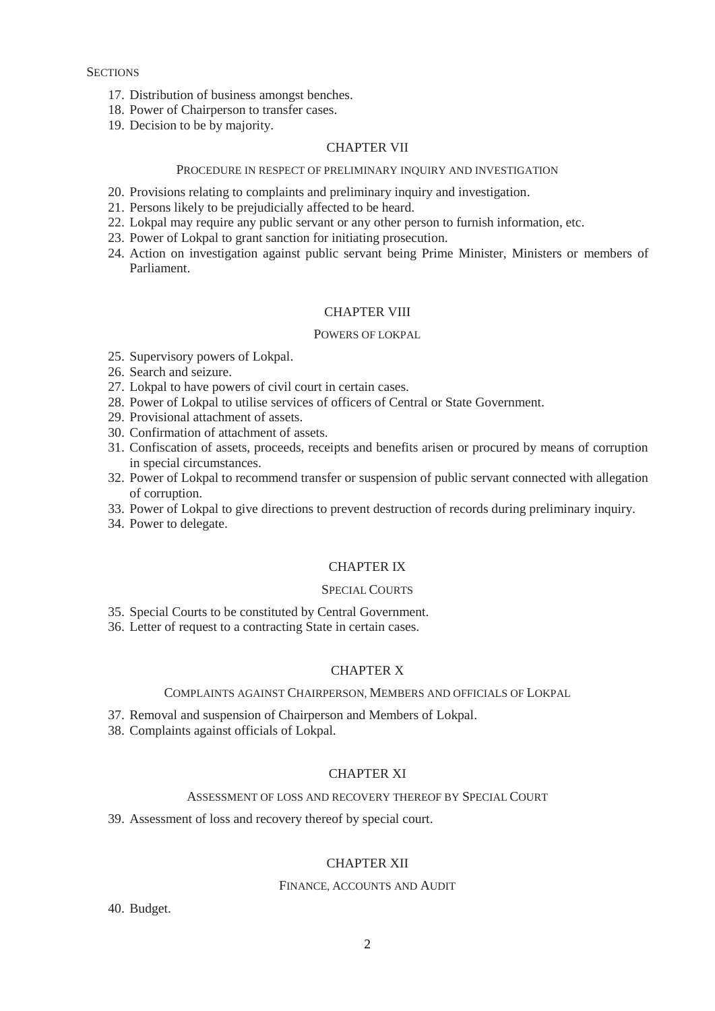**SECTIONS** 

- 17. Distribution of business amongst benches.
- 18. Power of Chairperson to transfer cases.
- 19. Decision to be by majority.

## CHAPTER VII

## PROCEDURE IN RESPECT OF PRELIMINARY INQUIRY AND INVESTIGATION

- 20. Provisions relating to complaints and preliminary inquiry and investigation.
- 21. Persons likely to be prejudicially affected to be heard.
- 22. Lokpal may require any public servant or any other person to furnish information, etc.
- 23. Power of Lokpal to grant sanction for initiating prosecution.
- 24. Action on investigation against public servant being Prime Minister, Ministers or members of Parliament.

# CHAPTER VIII

## POWERS OF LOKPAL

- 25. Supervisory powers of Lokpal.
- 26. Search and seizure.
- 27. Lokpal to have powers of civil court in certain cases.
- 28. Power of Lokpal to utilise services of officers of Central or State Government.
- 29. Provisional attachment of assets.
- 30. Confirmation of attachment of assets.
- 31. Confiscation of assets, proceeds, receipts and benefits arisen or procured by means of corruption in special circumstances.
- 32. Power of Lokpal to recommend transfer or suspension of public servant connected with allegation of corruption.
- 33. Power of Lokpal to give directions to prevent destruction of records during preliminary inquiry.
- 34. Power to delegate.

# CHAPTER IX

### SPECIAL COURTS

- 35. Special Courts to be constituted by Central Government.
- 36. Letter of request to a contracting State in certain cases.

# CHAPTER X

## COMPLAINTS AGAINST CHAIRPERSON, MEMBERS AND OFFICIALS OF LOKPAL

- 37. Removal and suspension of Chairperson and Members of Lokpal.
- 38. Complaints against officials of Lokpal.

# CHAPTER XI

## ASSESSMENT OF LOSS AND RECOVERY THEREOF BY SPECIAL COURT

39. Assessment of loss and recovery thereof by special court.

# CHAPTER XII

## FINANCE, ACCOUNTS AND AUDIT

40. Budget.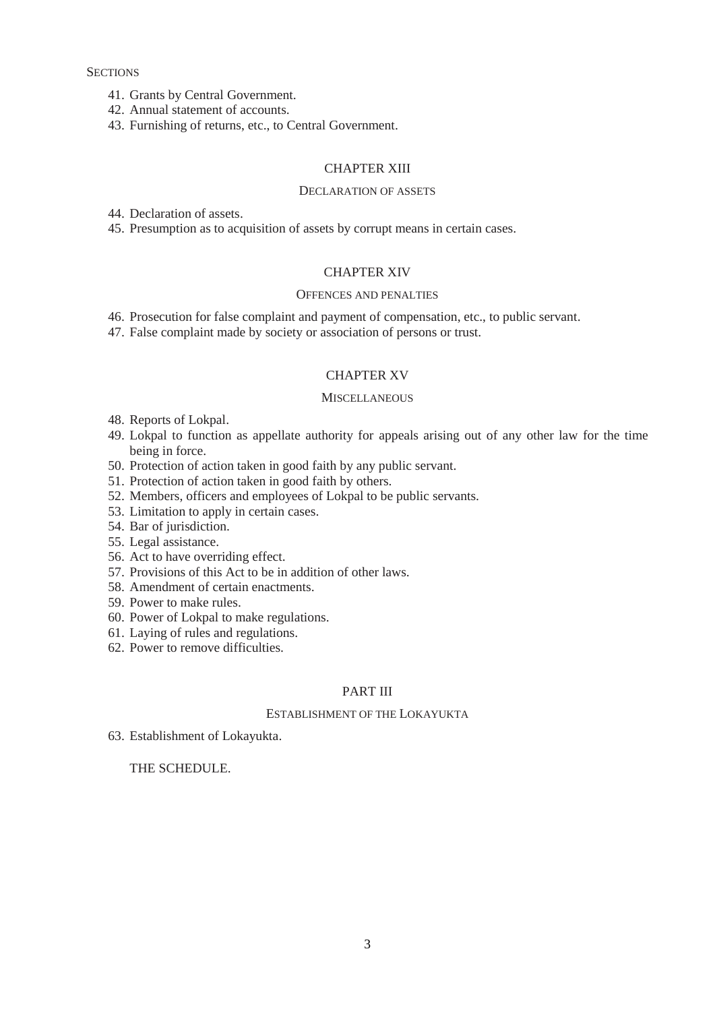**SECTIONS** 

- 41. Grants by Central Government.
- 42. Annual statement of accounts.
- 43. Furnishing of returns, etc., to Central Government.

## CHAPTER XIII

# DECLARATION OF ASSETS

44. Declaration of assets.

45. Presumption as to acquisition of assets by corrupt means in certain cases.

# CHAPTER XIV

## OFFENCES AND PENALTIES

- 46. Prosecution for false complaint and payment of compensation, etc., to public servant.
- 47. False complaint made by society or association of persons or trust.

# CHAPTER XV

## **MISCELLANEOUS**

- 48. Reports of Lokpal.
- 49. Lokpal to function as appellate authority for appeals arising out of any other law for the time being in force.
- 50. Protection of action taken in good faith by any public servant.
- 51. Protection of action taken in good faith by others.
- 52. Members, officers and employees of Lokpal to be public servants.
- 53. Limitation to apply in certain cases.
- 54. Bar of jurisdiction.
- 55. Legal assistance.
- 56. Act to have overriding effect.
- 57. Provisions of this Act to be in addition of other laws.
- 58. Amendment of certain enactments.
- 59. Power to make rules.
- 60. Power of Lokpal to make regulations.
- 61. Laying of rules and regulations.
- 62. Power to remove difficulties.

## PART III

#### ESTABLISHMENT OF THE LOKAYUKTA

63. Establishment of Lokayukta.

# THE SCHEDULE.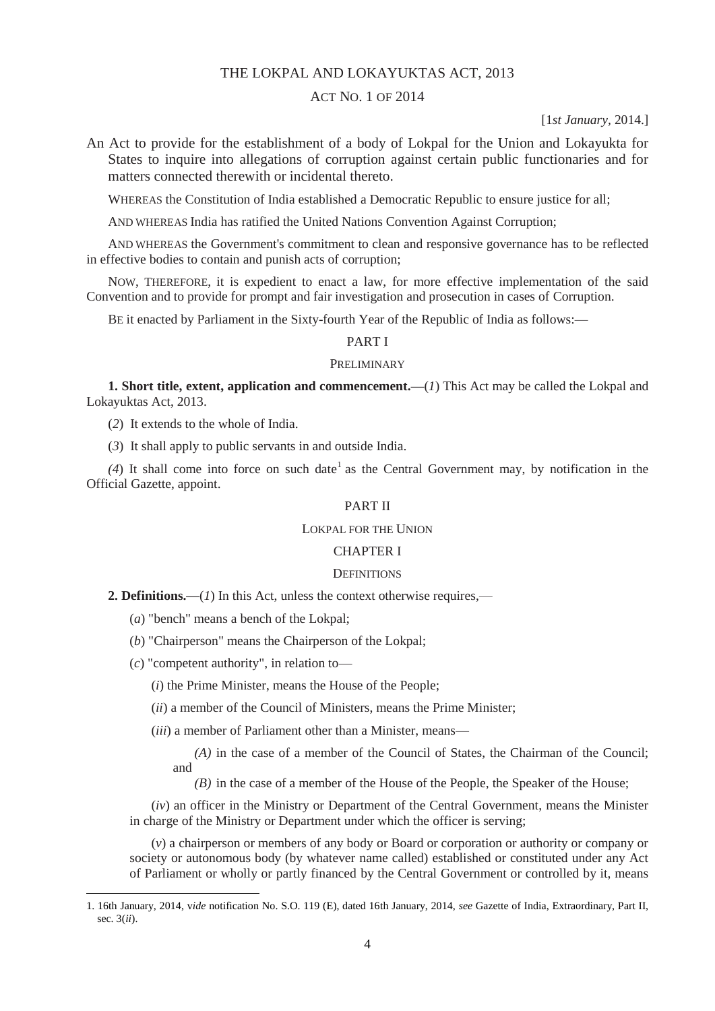# THE LOKPAL AND LOKAYUKTAS ACT, 2013

## ACT NO. 1 OF 2014

[1*st January,* 2014.]

An Act to provide for the establishment of a body of Lokpal for the Union and Lokayukta for States to inquire into allegations of corruption against certain public functionaries and for matters connected therewith or incidental thereto.

WHEREAS the Constitution of India established a Democratic Republic to ensure justice for all;

AND WHEREAS India has ratified the United Nations Convention Against Corruption;

AND WHEREAS the Government's commitment to clean and responsive governance has to be reflected in effective bodies to contain and punish acts of corruption;

NOW, THEREFORE, it is expedient to enact a law, for more effective implementation of the said Convention and to provide for prompt and fair investigation and prosecution in cases of Corruption.

BE it enacted by Parliament in the Sixty-fourth Year of the Republic of India as follows:—

## PART I

#### **PRELIMINARY**

**1. Short title, extent, application and commencement.—**(*1*) This Act may be called the Lokpal and Lokayuktas Act, 2013.

(*2*) It extends to the whole of India.

(*3*) It shall apply to public servants in and outside India.

 $(4)$  It shall come into force on such date<sup>1</sup> as the Central Government may, by notification in the Official Gazette, appoint.

# PART II

#### LOKPAL FOR THE UNION

## CHAPTER I

## **DEFINITIONS**

**2. Definitions.—**(*1*) In this Act, unless the context otherwise requires,—

(*a*) "bench" means a bench of the Lokpal;

(*b*) "Chairperson" means the Chairperson of the Lokpal;

(*c*) "competent authority", in relation to—

1

(*i*) the Prime Minister, means the House of the People;

(*ii*) a member of the Council of Ministers, means the Prime Minister;

(*iii*) a member of Parliament other than a Minister, means—

*(A)* in the case of a member of the Council of States, the Chairman of the Council; and

*(B)* in the case of a member of the House of the People, the Speaker of the House;

(*iv*) an officer in the Ministry or Department of the Central Government, means the Minister in charge of the Ministry or Department under which the officer is serving;

(*v*) a chairperson or members of any body or Board or corporation or authority or company or society or autonomous body (by whatever name called) established or constituted under any Act of Parliament or wholly or partly financed by the Central Government or controlled by it, means

<sup>1. 16</sup>th January, 2014, v*ide* notification No. S.O. 119 (E), dated 16th January, 2014, *see* Gazette of India, Extraordinary, Part II, sec. 3(*ii*).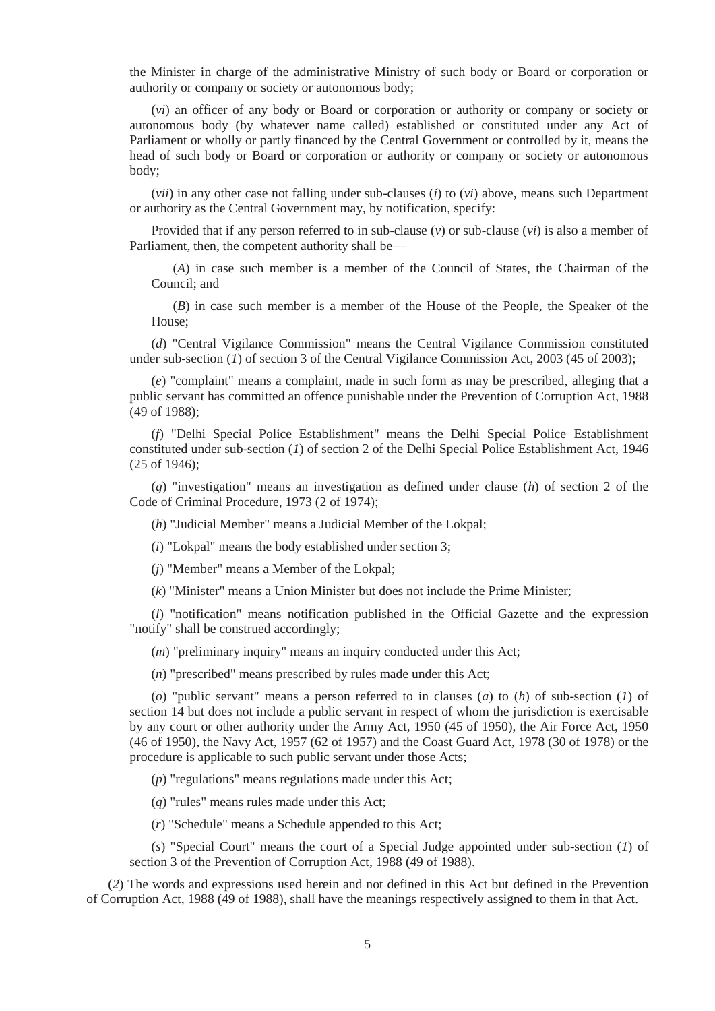the Minister in charge of the administrative Ministry of such body or Board or corporation or authority or company or society or autonomous body;

(*vi*) an officer of any body or Board or corporation or authority or company or society or autonomous body (by whatever name called) established or constituted under any Act of Parliament or wholly or partly financed by the Central Government or controlled by it, means the head of such body or Board or corporation or authority or company or society or autonomous body;

(*vii*) in any other case not falling under sub-clauses (*i*) to (*vi*) above, means such Department or authority as the Central Government may, by notification, specify:

Provided that if any person referred to in sub-clause (*v*) or sub-clause (*vi*) is also a member of Parliament, then, the competent authority shall be—

(*A*) in case such member is a member of the Council of States, the Chairman of the Council; and

(*B*) in case such member is a member of the House of the People, the Speaker of the House;

(*d*) "Central Vigilance Commission" means the Central Vigilance Commission constituted under sub-section (*1*) of section 3 of the Central Vigilance Commission Act, 2003 (45 of 2003);

(*e*) "complaint" means a complaint, made in such form as may be prescribed, alleging that a public servant has committed an offence punishable under the Prevention of Corruption Act, 1988 (49 of 1988);

(*f*) "Delhi Special Police Establishment" means the Delhi Special Police Establishment constituted under sub-section (*1*) of section 2 of the Delhi Special Police Establishment Act, 1946 (25 of 1946);

(*g*) "investigation" means an investigation as defined under clause (*h*) of section 2 of the Code of Criminal Procedure, 1973 (2 of 1974);

(*h*) "Judicial Member" means a Judicial Member of the Lokpal;

(*i*) "Lokpal" means the body established under section 3;

(*j*) "Member" means a Member of the Lokpal;

(*k*) "Minister" means a Union Minister but does not include the Prime Minister;

(*l*) "notification" means notification published in the Official Gazette and the expression "notify" shall be construed accordingly;

(*m*) "preliminary inquiry" means an inquiry conducted under this Act;

(*n*) "prescribed" means prescribed by rules made under this Act;

(*o*) "public servant" means a person referred to in clauses (*a*) to (*h*) of sub-section (*1*) of section 14 but does not include a public servant in respect of whom the jurisdiction is exercisable by any court or other authority under the Army Act, 1950 (45 of 1950), the Air Force Act, 1950 (46 of 1950), the Navy Act, 1957 (62 of 1957) and the Coast Guard Act, 1978 (30 of 1978) or the procedure is applicable to such public servant under those Acts;

(*p*) "regulations" means regulations made under this Act;

(*q*) "rules" means rules made under this Act;

(*r*) "Schedule" means a Schedule appended to this Act;

(*s*) "Special Court" means the court of a Special Judge appointed under sub-section (*1*) of section 3 of the Prevention of Corruption Act, 1988 (49 of 1988).

(*2*) The words and expressions used herein and not defined in this Act but defined in the Prevention of Corruption Act, 1988 (49 of 1988), shall have the meanings respectively assigned to them in that Act.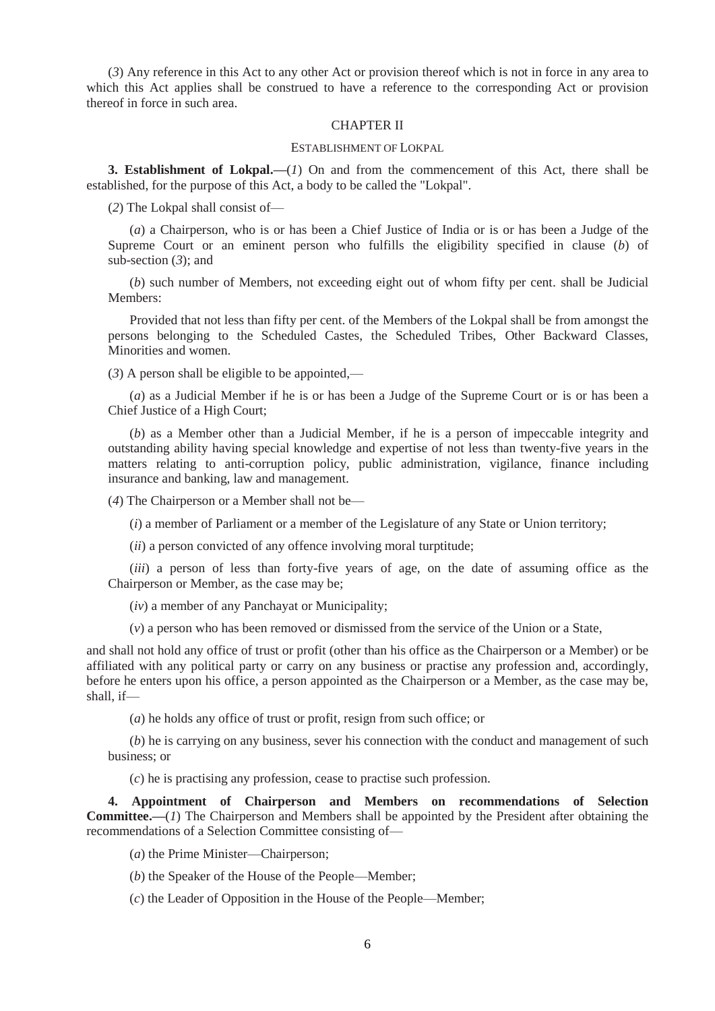(*3*) Any reference in this Act to any other Act or provision thereof which is not in force in any area to which this Act applies shall be construed to have a reference to the corresponding Act or provision thereof in force in such area.

## CHAPTER II

#### ESTABLISHMENT OF LOKPAL

**3. Establishment of Lokpal.—**(*1*) On and from the commencement of this Act, there shall be established, for the purpose of this Act, a body to be called the "Lokpal".

(*2*) The Lokpal shall consist of—

(*a*) a Chairperson, who is or has been a Chief Justice of India or is or has been a Judge of the Supreme Court or an eminent person who fulfills the eligibility specified in clause (*b*) of sub-section (*3*); and

(*b*) such number of Members, not exceeding eight out of whom fifty per cent. shall be Judicial Members:

Provided that not less than fifty per cent. of the Members of the Lokpal shall be from amongst the persons belonging to the Scheduled Castes, the Scheduled Tribes, Other Backward Classes, Minorities and women.

(*3*) A person shall be eligible to be appointed,—

(*a*) as a Judicial Member if he is or has been a Judge of the Supreme Court or is or has been a Chief Justice of a High Court;

(*b*) as a Member other than a Judicial Member, if he is a person of impeccable integrity and outstanding ability having special knowledge and expertise of not less than twenty-five years in the matters relating to anti-corruption policy, public administration, vigilance, finance including insurance and banking, law and management.

(*4*) The Chairperson or a Member shall not be—

(*i*) a member of Parliament or a member of the Legislature of any State or Union territory;

(*ii*) a person convicted of any offence involving moral turptitude;

(*iii*) a person of less than forty-five years of age, on the date of assuming office as the Chairperson or Member, as the case may be;

(*iv*) a member of any Panchayat or Municipality;

(*v*) a person who has been removed or dismissed from the service of the Union or a State,

and shall not hold any office of trust or profit (other than his office as the Chairperson or a Member) or be affiliated with any political party or carry on any business or practise any profession and, accordingly, before he enters upon his office, a person appointed as the Chairperson or a Member, as the case may be, shall, if—

(*a*) he holds any office of trust or profit, resign from such office; or

(*b*) he is carrying on any business, sever his connection with the conduct and management of such business; or

(*c*) he is practising any profession, cease to practise such profession.

**4. Appointment of Chairperson and Members on recommendations of Selection Committee.—**(*1*) The Chairperson and Members shall be appointed by the President after obtaining the recommendations of a Selection Committee consisting of—

(*a*) the Prime Minister—Chairperson;

(*b*) the Speaker of the House of the People—Member;

(*c*) the Leader of Opposition in the House of the People—Member;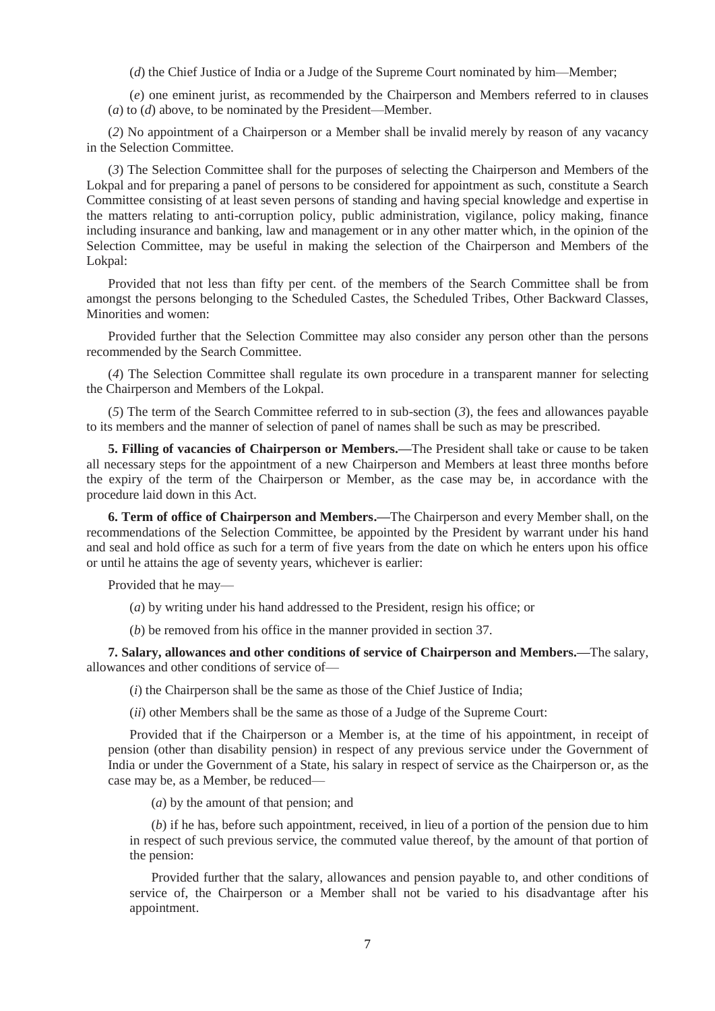(*d*) the Chief Justice of India or a Judge of the Supreme Court nominated by him—Member;

(*e*) one eminent jurist, as recommended by the Chairperson and Members referred to in clauses (*a*) to (*d*) above, to be nominated by the President—Member.

(*2*) No appointment of a Chairperson or a Member shall be invalid merely by reason of any vacancy in the Selection Committee.

(*3*) The Selection Committee shall for the purposes of selecting the Chairperson and Members of the Lokpal and for preparing a panel of persons to be considered for appointment as such, constitute a Search Committee consisting of at least seven persons of standing and having special knowledge and expertise in the matters relating to anti-corruption policy, public administration, vigilance, policy making, finance including insurance and banking, law and management or in any other matter which, in the opinion of the Selection Committee, may be useful in making the selection of the Chairperson and Members of the Lokpal:

Provided that not less than fifty per cent. of the members of the Search Committee shall be from amongst the persons belonging to the Scheduled Castes, the Scheduled Tribes, Other Backward Classes, Minorities and women:

Provided further that the Selection Committee may also consider any person other than the persons recommended by the Search Committee.

(*4*) The Selection Committee shall regulate its own procedure in a transparent manner for selecting the Chairperson and Members of the Lokpal.

(*5*) The term of the Search Committee referred to in sub-section (*3*), the fees and allowances payable to its members and the manner of selection of panel of names shall be such as may be prescribed.

**5. Filling of vacancies of Chairperson or Members.—**The President shall take or cause to be taken all necessary steps for the appointment of a new Chairperson and Members at least three months before the expiry of the term of the Chairperson or Member, as the case may be, in accordance with the procedure laid down in this Act.

**6. Term of office of Chairperson and Members.—**The Chairperson and every Member shall, on the recommendations of the Selection Committee, be appointed by the President by warrant under his hand and seal and hold office as such for a term of five years from the date on which he enters upon his office or until he attains the age of seventy years, whichever is earlier:

Provided that he may—

(*a*) by writing under his hand addressed to the President, resign his office; or

(*b*) be removed from his office in the manner provided in section 37.

**7. Salary, allowances and other conditions of service of Chairperson and Members.—**The salary, allowances and other conditions of service of—

(*i*) the Chairperson shall be the same as those of the Chief Justice of India;

(*ii*) other Members shall be the same as those of a Judge of the Supreme Court:

Provided that if the Chairperson or a Member is, at the time of his appointment, in receipt of pension (other than disability pension) in respect of any previous service under the Government of India or under the Government of a State, his salary in respect of service as the Chairperson or, as the case may be, as a Member, be reduced—

(*a*) by the amount of that pension; and

(*b*) if he has, before such appointment, received, in lieu of a portion of the pension due to him in respect of such previous service, the commuted value thereof, by the amount of that portion of the pension:

Provided further that the salary, allowances and pension payable to, and other conditions of service of, the Chairperson or a Member shall not be varied to his disadvantage after his appointment.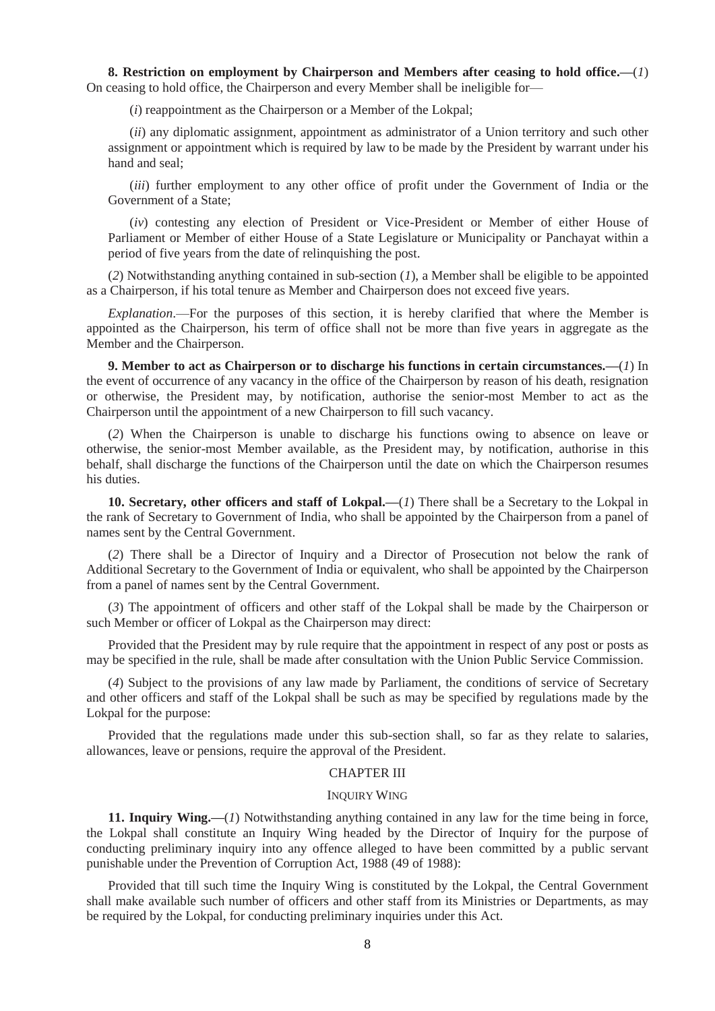**8. Restriction on employment by Chairperson and Members after ceasing to hold office.—**(*1*) On ceasing to hold office, the Chairperson and every Member shall be ineligible for—

(*i*) reappointment as the Chairperson or a Member of the Lokpal;

(*ii*) any diplomatic assignment, appointment as administrator of a Union territory and such other assignment or appointment which is required by law to be made by the President by warrant under his hand and seal;

(*iii*) further employment to any other office of profit under the Government of India or the Government of a State;

(*iv*) contesting any election of President or Vice-President or Member of either House of Parliament or Member of either House of a State Legislature or Municipality or Panchayat within a period of five years from the date of relinquishing the post.

(*2*) Notwithstanding anything contained in sub-section (*1*), a Member shall be eligible to be appointed as a Chairperson, if his total tenure as Member and Chairperson does not exceed five years.

*Explanation*.—For the purposes of this section, it is hereby clarified that where the Member is appointed as the Chairperson, his term of office shall not be more than five years in aggregate as the Member and the Chairperson.

**9. Member to act as Chairperson or to discharge his functions in certain circumstances.—**(*1*) In the event of occurrence of any vacancy in the office of the Chairperson by reason of his death, resignation or otherwise, the President may, by notification, authorise the senior-most Member to act as the Chairperson until the appointment of a new Chairperson to fill such vacancy.

(*2*) When the Chairperson is unable to discharge his functions owing to absence on leave or otherwise, the senior-most Member available, as the President may, by notification, authorise in this behalf, shall discharge the functions of the Chairperson until the date on which the Chairperson resumes his duties.

**10. Secretary, other officers and staff of Lokpal.—**(*1*) There shall be a Secretary to the Lokpal in the rank of Secretary to Government of India, who shall be appointed by the Chairperson from a panel of names sent by the Central Government.

(*2*) There shall be a Director of Inquiry and a Director of Prosecution not below the rank of Additional Secretary to the Government of India or equivalent, who shall be appointed by the Chairperson from a panel of names sent by the Central Government.

(*3*) The appointment of officers and other staff of the Lokpal shall be made by the Chairperson or such Member or officer of Lokpal as the Chairperson may direct:

Provided that the President may by rule require that the appointment in respect of any post or posts as may be specified in the rule, shall be made after consultation with the Union Public Service Commission.

(*4*) Subject to the provisions of any law made by Parliament, the conditions of service of Secretary and other officers and staff of the Lokpal shall be such as may be specified by regulations made by the Lokpal for the purpose:

Provided that the regulations made under this sub-section shall, so far as they relate to salaries, allowances, leave or pensions, require the approval of the President.

#### CHAPTER III

#### INQUIRY WING

**11. Inquiry Wing.—**(*1*) Notwithstanding anything contained in any law for the time being in force, the Lokpal shall constitute an Inquiry Wing headed by the Director of Inquiry for the purpose of conducting preliminary inquiry into any offence alleged to have been committed by a public servant punishable under the Prevention of Corruption Act, 1988 (49 of 1988):

Provided that till such time the Inquiry Wing is constituted by the Lokpal, the Central Government shall make available such number of officers and other staff from its Ministries or Departments, as may be required by the Lokpal, for conducting preliminary inquiries under this Act.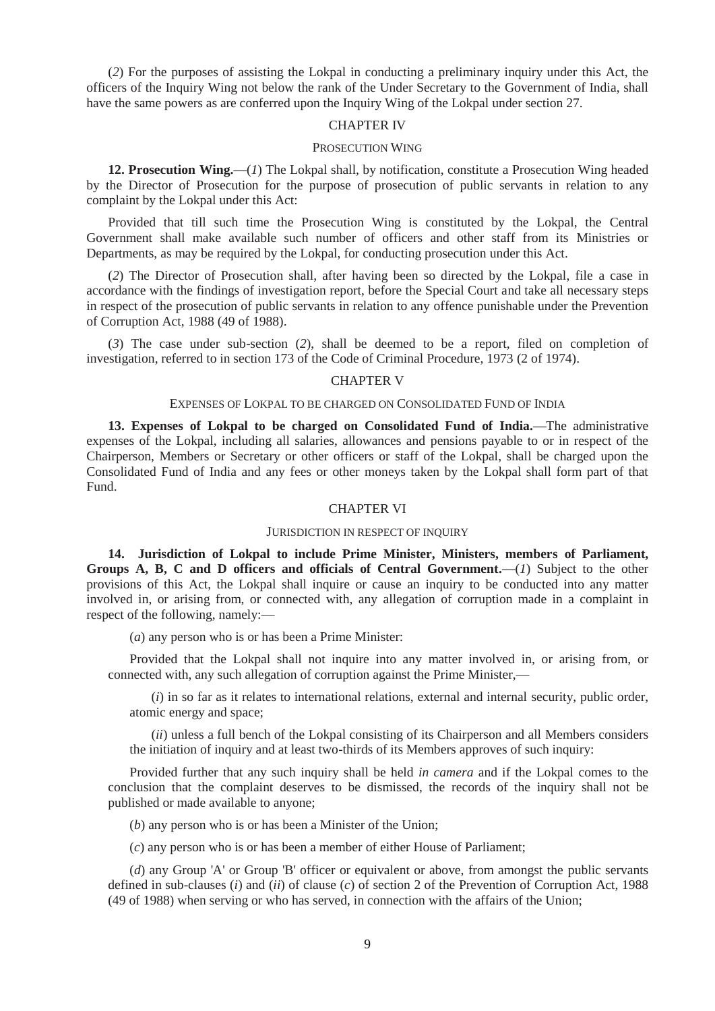(*2*) For the purposes of assisting the Lokpal in conducting a preliminary inquiry under this Act, the officers of the Inquiry Wing not below the rank of the Under Secretary to the Government of India, shall have the same powers as are conferred upon the Inquiry Wing of the Lokpal under section 27.

## CHAPTER IV

#### PROSECUTION WING

**12. Prosecution Wing.—**(*1*) The Lokpal shall, by notification, constitute a Prosecution Wing headed by the Director of Prosecution for the purpose of prosecution of public servants in relation to any complaint by the Lokpal under this Act:

Provided that till such time the Prosecution Wing is constituted by the Lokpal, the Central Government shall make available such number of officers and other staff from its Ministries or Departments, as may be required by the Lokpal, for conducting prosecution under this Act.

(*2*) The Director of Prosecution shall, after having been so directed by the Lokpal, file a case in accordance with the findings of investigation report, before the Special Court and take all necessary steps in respect of the prosecution of public servants in relation to any offence punishable under the Prevention of Corruption Act, 1988 (49 of 1988).

(*3*) The case under sub-section (*2*), shall be deemed to be a report, filed on completion of investigation, referred to in section 173 of the Code of Criminal Procedure, 1973 (2 of 1974).

#### CHAPTER V

# EXPENSES OF LOKPAL TO BE CHARGED ON CONSOLIDATED FUND OF INDIA

**13. Expenses of Lokpal to be charged on Consolidated Fund of India.—**The administrative expenses of the Lokpal, including all salaries, allowances and pensions payable to or in respect of the Chairperson, Members or Secretary or other officers or staff of the Lokpal, shall be charged upon the Consolidated Fund of India and any fees or other moneys taken by the Lokpal shall form part of that Fund.

## CHAPTER VI

## JURISDICTION IN RESPECT OF INQUIRY

**14. Jurisdiction of Lokpal to include Prime Minister, Ministers, members of Parliament, Groups A, B, C and D officers and officials of Central Government.—**(*1*) Subject to the other provisions of this Act, the Lokpal shall inquire or cause an inquiry to be conducted into any matter involved in, or arising from, or connected with, any allegation of corruption made in a complaint in respect of the following, namely:—

(*a*) any person who is or has been a Prime Minister:

Provided that the Lokpal shall not inquire into any matter involved in, or arising from, or connected with, any such allegation of corruption against the Prime Minister,—

(*i*) in so far as it relates to international relations, external and internal security, public order, atomic energy and space;

(*ii*) unless a full bench of the Lokpal consisting of its Chairperson and all Members considers the initiation of inquiry and at least two-thirds of its Members approves of such inquiry:

Provided further that any such inquiry shall be held *in camera* and if the Lokpal comes to the conclusion that the complaint deserves to be dismissed, the records of the inquiry shall not be published or made available to anyone;

(*b*) any person who is or has been a Minister of the Union;

(*c*) any person who is or has been a member of either House of Parliament;

(*d*) any Group 'A' or Group 'B' officer or equivalent or above, from amongst the public servants defined in sub-clauses (*i*) and (*ii*) of clause (*c*) of section 2 of the Prevention of Corruption Act, 1988 (49 of 1988) when serving or who has served, in connection with the affairs of the Union;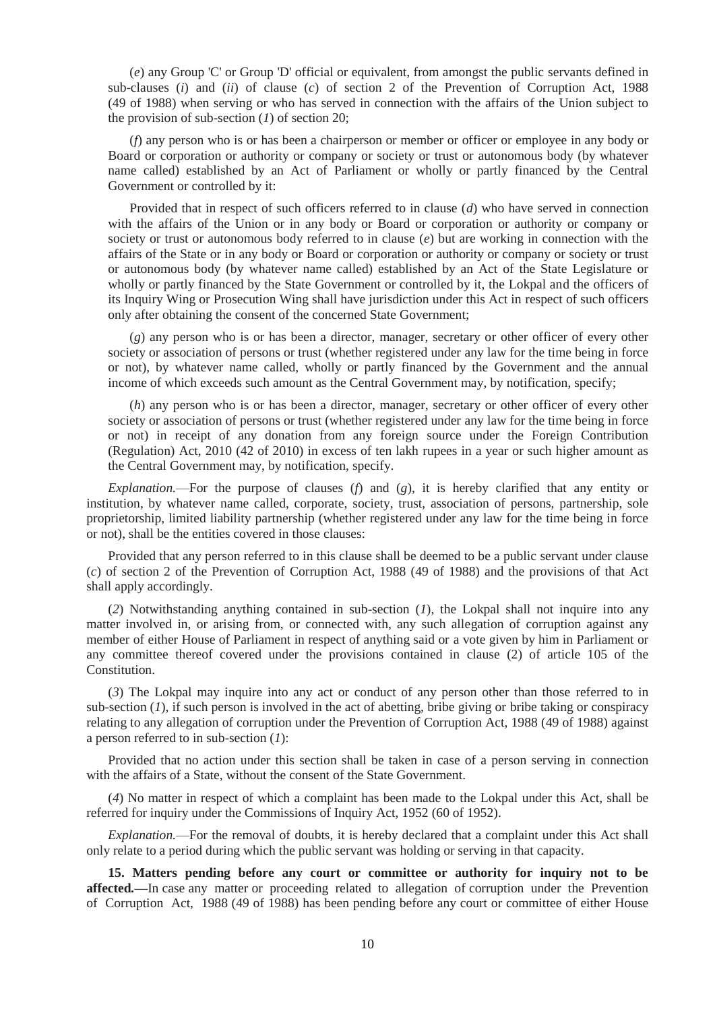(*e*) any Group 'C' or Group 'D' official or equivalent, from amongst the public servants defined in sub-clauses (*i*) and (*ii*) of clause (*c*) of section 2 of the Prevention of Corruption Act, 1988 (49 of 1988) when serving or who has served in connection with the affairs of the Union subject to the provision of sub-section (*1*) of section 20;

(*f*) any person who is or has been a chairperson or member or officer or employee in any body or Board or corporation or authority or company or society or trust or autonomous body (by whatever name called) established by an Act of Parliament or wholly or partly financed by the Central Government or controlled by it:

Provided that in respect of such officers referred to in clause (*d*) who have served in connection with the affairs of the Union or in any body or Board or corporation or authority or company or society or trust or autonomous body referred to in clause (*e*) but are working in connection with the affairs of the State or in any body or Board or corporation or authority or company or society or trust or autonomous body (by whatever name called) established by an Act of the State Legislature or wholly or partly financed by the State Government or controlled by it, the Lokpal and the officers of its Inquiry Wing or Prosecution Wing shall have jurisdiction under this Act in respect of such officers only after obtaining the consent of the concerned State Government;

(*g*) any person who is or has been a director, manager, secretary or other officer of every other society or association of persons or trust (whether registered under any law for the time being in force or not), by whatever name called, wholly or partly financed by the Government and the annual income of which exceeds such amount as the Central Government may, by notification, specify;

(*h*) any person who is or has been a director, manager, secretary or other officer of every other society or association of persons or trust (whether registered under any law for the time being in force or not) in receipt of any donation from any foreign source under the Foreign Contribution (Regulation) Act, 2010 (42 of 2010) in excess of ten lakh rupees in a year or such higher amount as the Central Government may, by notification, specify.

*Explanation.*—For the purpose of clauses (*f*) and (*g*), it is hereby clarified that any entity or institution, by whatever name called, corporate, society, trust, association of persons, partnership, sole proprietorship, limited liability partnership (whether registered under any law for the time being in force or not), shall be the entities covered in those clauses:

Provided that any person referred to in this clause shall be deemed to be a public servant under clause (*c*) of section 2 of the Prevention of Corruption Act, 1988 (49 of 1988) and the provisions of that Act shall apply accordingly.

(*2*) Notwithstanding anything contained in sub-section (*1*), the Lokpal shall not inquire into any matter involved in, or arising from, or connected with, any such allegation of corruption against any member of either House of Parliament in respect of anything said or a vote given by him in Parliament or any committee thereof covered under the provisions contained in clause (2) of article 105 of the Constitution.

(*3*) The Lokpal may inquire into any act or conduct of any person other than those referred to in sub-section  $(1)$ , if such person is involved in the act of abetting, bribe giving or bribe taking or conspiracy relating to any allegation of corruption under the Prevention of Corruption Act, 1988 (49 of 1988) against a person referred to in sub-section (*1*):

Provided that no action under this section shall be taken in case of a person serving in connection with the affairs of a State, without the consent of the State Government.

(*4*) No matter in respect of which a complaint has been made to the Lokpal under this Act, shall be referred for inquiry under the Commissions of Inquiry Act, 1952 (60 of 1952).

*Explanation.*—For the removal of doubts, it is hereby declared that a complaint under this Act shall only relate to a period during which the public servant was holding or serving in that capacity.

**15. Matters pending before any court or committee or authority for inquiry not to be affected***.***—**In case any matter or proceeding related to allegation of corruption under the Prevention of Corruption Act, 1988 (49 of 1988) has been pending before any court or committee of either House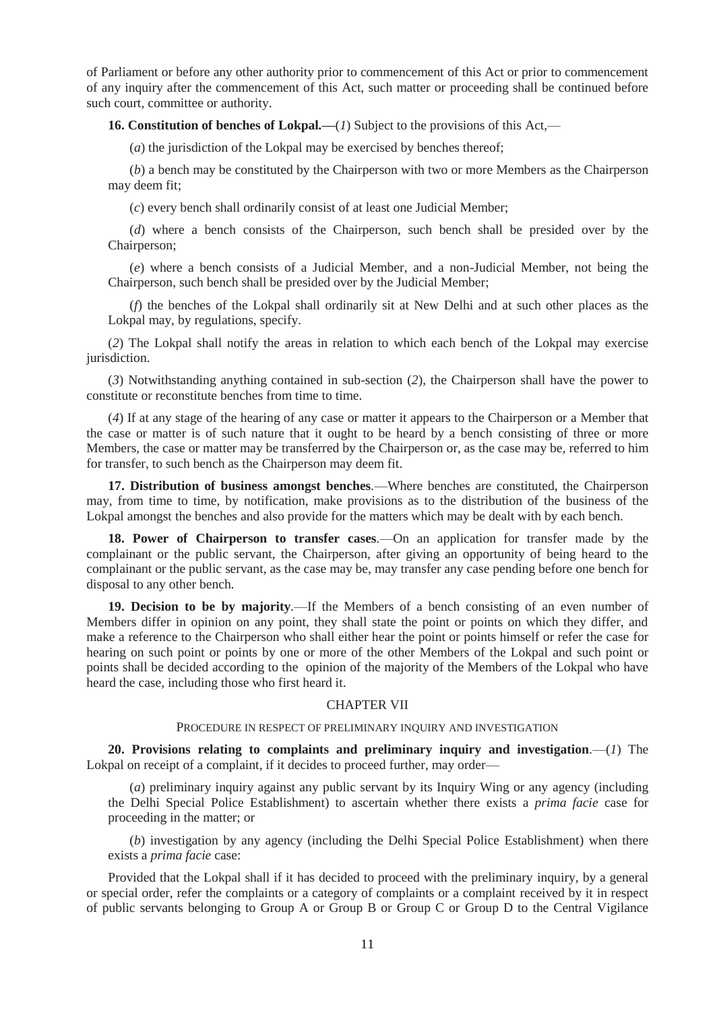of Parliament or before any other authority prior to commencement of this Act or prior to commencement of any inquiry after the commencement of this Act, such matter or proceeding shall be continued before such court, committee or authority.

**16. Constitution of benches of Lokpal***.***—**(*1*) Subject to the provisions of this Act,—

(*a*) the jurisdiction of the Lokpal may be exercised by benches thereof;

(*b*) a bench may be constituted by the Chairperson with two or more Members as the Chairperson may deem fit;

(*c*) every bench shall ordinarily consist of at least one Judicial Member;

(*d*) where a bench consists of the Chairperson, such bench shall be presided over by the Chairperson;

(*e*) where a bench consists of a Judicial Member, and a non-Judicial Member, not being the Chairperson, such bench shall be presided over by the Judicial Member;

(*f*) the benches of the Lokpal shall ordinarily sit at New Delhi and at such other places as the Lokpal may, by regulations, specify.

(*2*) The Lokpal shall notify the areas in relation to which each bench of the Lokpal may exercise jurisdiction.

(*3*) Notwithstanding anything contained in sub-section (*2*), the Chairperson shall have the power to constitute or reconstitute benches from time to time.

(*4*) If at any stage of the hearing of any case or matter it appears to the Chairperson or a Member that the case or matter is of such nature that it ought to be heard by a bench consisting of three or more Members, the case or matter may be transferred by the Chairperson or, as the case may be, referred to him for transfer, to such bench as the Chairperson may deem fit.

**17. Distribution of business amongst benches***.*—Where benches are constituted, the Chairperson may, from time to time, by notification, make provisions as to the distribution of the business of the Lokpal amongst the benches and also provide for the matters which may be dealt with by each bench.

**18. Power of Chairperson to transfer cases***.*—On an application for transfer made by the complainant or the public servant, the Chairperson, after giving an opportunity of being heard to the complainant or the public servant, as the case may be, may transfer any case pending before one bench for disposal to any other bench.

**19. Decision to be by majority***.*—If the Members of a bench consisting of an even number of Members differ in opinion on any point, they shall state the point or points on which they differ, and make a reference to the Chairperson who shall either hear the point or points himself or refer the case for hearing on such point or points by one or more of the other Members of the Lokpal and such point or points shall be decided according to the opinion of the majority of the Members of the Lokpal who have heard the case, including those who first heard it.

# CHAPTER VII

### PROCEDURE IN RESPECT OF PRELIMINARY INQUIRY AND INVESTIGATION

**20. Provisions relating to complaints and preliminary inquiry and investigation***.*—(*1*) The Lokpal on receipt of a complaint, if it decides to proceed further, may order—

(*a*) preliminary inquiry against any public servant by its Inquiry Wing or any agency (including the Delhi Special Police Establishment) to ascertain whether there exists a *prima facie* case for proceeding in the matter; or

(*b*) investigation by any agency (including the Delhi Special Police Establishment) when there exists a *prima facie* case:

Provided that the Lokpal shall if it has decided to proceed with the preliminary inquiry, by a general or special order, refer the complaints or a category of complaints or a complaint received by it in respect of public servants belonging to Group A or Group B or Group C or Group D to the Central Vigilance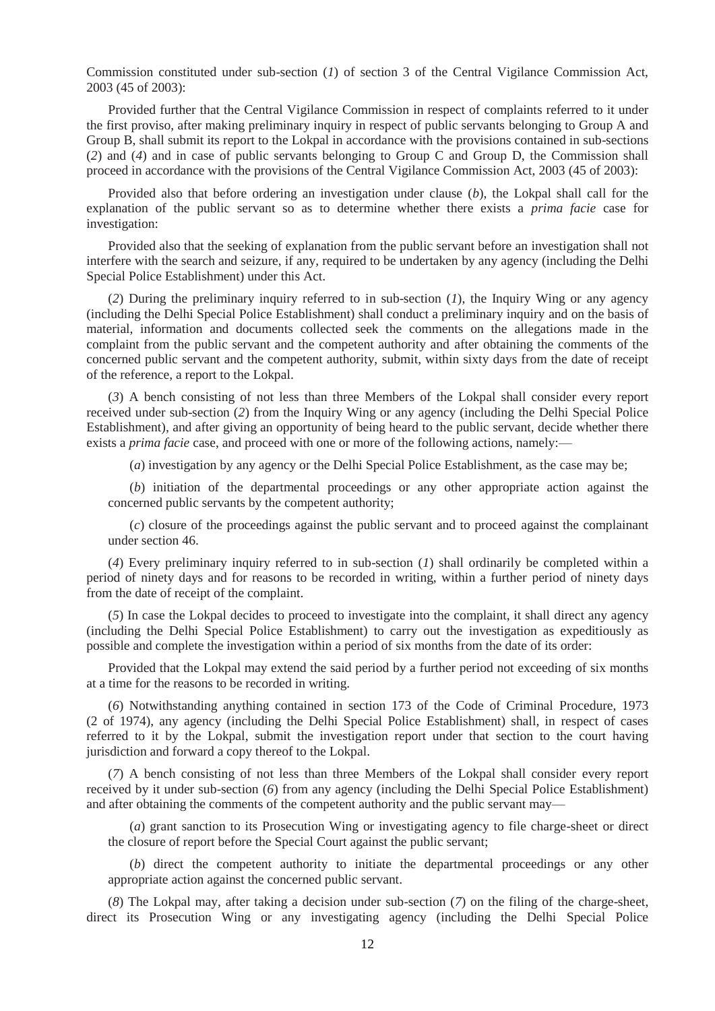Commission constituted under sub-section (*1*) of section 3 of the Central Vigilance Commission Act, 2003 (45 of 2003):

Provided further that the Central Vigilance Commission in respect of complaints referred to it under the first proviso, after making preliminary inquiry in respect of public servants belonging to Group A and Group B, shall submit its report to the Lokpal in accordance with the provisions contained in sub-sections (*2*) and (*4*) and in case of public servants belonging to Group C and Group D, the Commission shall proceed in accordance with the provisions of the Central Vigilance Commission Act, 2003 (45 of 2003):

Provided also that before ordering an investigation under clause (*b*), the Lokpal shall call for the explanation of the public servant so as to determine whether there exists a *prima facie* case for investigation:

Provided also that the seeking of explanation from the public servant before an investigation shall not interfere with the search and seizure, if any, required to be undertaken by any agency (including the Delhi Special Police Establishment) under this Act.

(*2*) During the preliminary inquiry referred to in sub-section (*1*), the Inquiry Wing or any agency (including the Delhi Special Police Establishment) shall conduct a preliminary inquiry and on the basis of material, information and documents collected seek the comments on the allegations made in the complaint from the public servant and the competent authority and after obtaining the comments of the concerned public servant and the competent authority, submit, within sixty days from the date of receipt of the reference, a report to the Lokpal.

(*3*) A bench consisting of not less than three Members of the Lokpal shall consider every report received under sub-section (*2*) from the Inquiry Wing or any agency (including the Delhi Special Police Establishment), and after giving an opportunity of being heard to the public servant, decide whether there exists a *prima facie* case, and proceed with one or more of the following actions, namely:-

(*a*) investigation by any agency or the Delhi Special Police Establishment, as the case may be;

(*b*) initiation of the departmental proceedings or any other appropriate action against the concerned public servants by the competent authority;

(*c*) closure of the proceedings against the public servant and to proceed against the complainant under section 46.

(*4*) Every preliminary inquiry referred to in sub-section (*1*) shall ordinarily be completed within a period of ninety days and for reasons to be recorded in writing, within a further period of ninety days from the date of receipt of the complaint.

(*5*) In case the Lokpal decides to proceed to investigate into the complaint, it shall direct any agency (including the Delhi Special Police Establishment) to carry out the investigation as expeditiously as possible and complete the investigation within a period of six months from the date of its order:

Provided that the Lokpal may extend the said period by a further period not exceeding of six months at a time for the reasons to be recorded in writing.

(*6*) Notwithstanding anything contained in section 173 of the Code of Criminal Procedure, 1973 (2 of 1974), any agency (including the Delhi Special Police Establishment) shall, in respect of cases referred to it by the Lokpal, submit the investigation report under that section to the court having jurisdiction and forward a copy thereof to the Lokpal.

(*7*) A bench consisting of not less than three Members of the Lokpal shall consider every report received by it under sub-section (*6*) from any agency (including the Delhi Special Police Establishment) and after obtaining the comments of the competent authority and the public servant may—

(*a*) grant sanction to its Prosecution Wing or investigating agency to file charge-sheet or direct the closure of report before the Special Court against the public servant;

(*b*) direct the competent authority to initiate the departmental proceedings or any other appropriate action against the concerned public servant.

(*8*) The Lokpal may, after taking a decision under sub-section (*7*) on the filing of the charge-sheet, direct its Prosecution Wing or any investigating agency (including the Delhi Special Police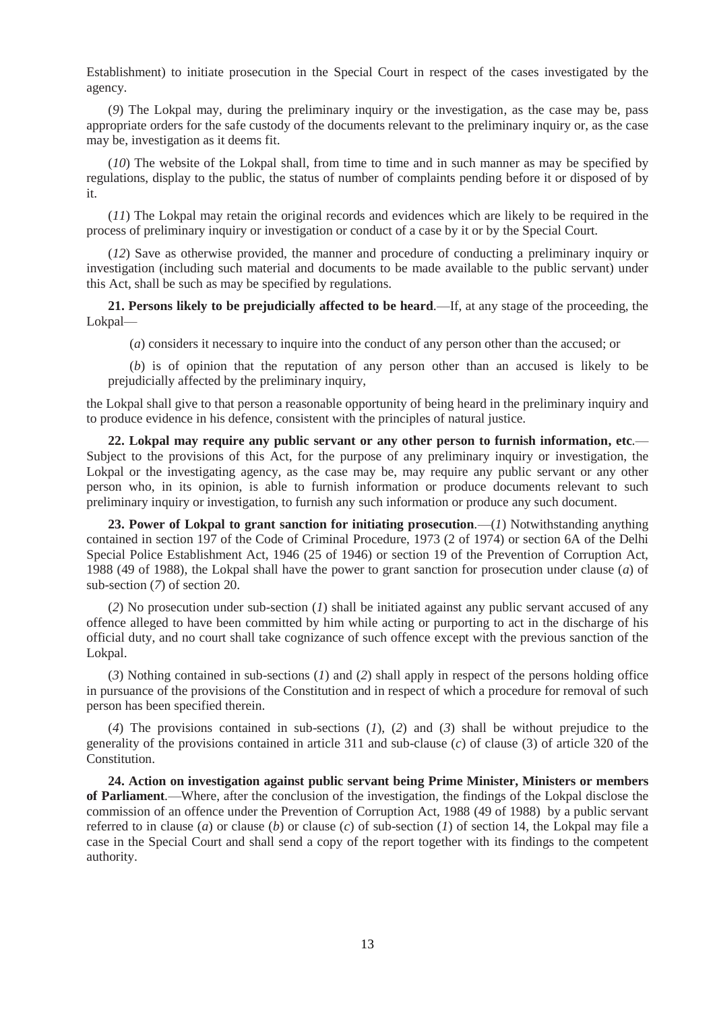Establishment) to initiate prosecution in the Special Court in respect of the cases investigated by the agency.

(*9*) The Lokpal may, during the preliminary inquiry or the investigation, as the case may be, pass appropriate orders for the safe custody of the documents relevant to the preliminary inquiry or, as the case may be, investigation as it deems fit.

(*10*) The website of the Lokpal shall, from time to time and in such manner as may be specified by regulations, display to the public, the status of number of complaints pending before it or disposed of by it.

(*11*) The Lokpal may retain the original records and evidences which are likely to be required in the process of preliminary inquiry or investigation or conduct of a case by it or by the Special Court.

(*12*) Save as otherwise provided, the manner and procedure of conducting a preliminary inquiry or investigation (including such material and documents to be made available to the public servant) under this Act, shall be such as may be specified by regulations.

**21. Persons likely to be prejudicially affected to be heard***.*—If, at any stage of the proceeding, the Lokpal—

(*a*) considers it necessary to inquire into the conduct of any person other than the accused; or

(*b*) is of opinion that the reputation of any person other than an accused is likely to be prejudicially affected by the preliminary inquiry,

the Lokpal shall give to that person a reasonable opportunity of being heard in the preliminary inquiry and to produce evidence in his defence, consistent with the principles of natural justice.

**22. Lokpal may require any public servant or any other person to furnish information, etc***.*— Subject to the provisions of this Act, for the purpose of any preliminary inquiry or investigation, the Lokpal or the investigating agency, as the case may be, may require any public servant or any other person who, in its opinion, is able to furnish information or produce documents relevant to such preliminary inquiry or investigation, to furnish any such information or produce any such document.

**23. Power of Lokpal to grant sanction for initiating prosecution***.*—(*1*) Notwithstanding anything contained in section 197 of the Code of Criminal Procedure, 1973 (2 of 1974) or section 6A of the Delhi Special Police Establishment Act, 1946 (25 of 1946) or section 19 of the Prevention of Corruption Act, 1988 (49 of 1988), the Lokpal shall have the power to grant sanction for prosecution under clause (*a*) of sub-section (*7*) of section 20.

(*2*) No prosecution under sub-section (*1*) shall be initiated against any public servant accused of any offence alleged to have been committed by him while acting or purporting to act in the discharge of his official duty, and no court shall take cognizance of such offence except with the previous sanction of the Lokpal.

(*3*) Nothing contained in sub-sections (*1*) and (*2*) shall apply in respect of the persons holding office in pursuance of the provisions of the Constitution and in respect of which a procedure for removal of such person has been specified therein.

(*4*) The provisions contained in sub-sections (*1*), (*2*) and (*3*) shall be without prejudice to the generality of the provisions contained in article 311 and sub-clause (*c*) of clause (3) of article 320 of the Constitution.

**24. Action on investigation against public servant being Prime Minister, Ministers or members of Parliament***.*—Where, after the conclusion of the investigation, the findings of the Lokpal disclose the commission of an offence under the Prevention of Corruption Act, 1988 (49 of 1988) by a public servant referred to in clause (*a*) or clause (*b*) or clause (*c*) of sub-section (*1*) of section 14, the Lokpal may file a case in the Special Court and shall send a copy of the report together with its findings to the competent authority.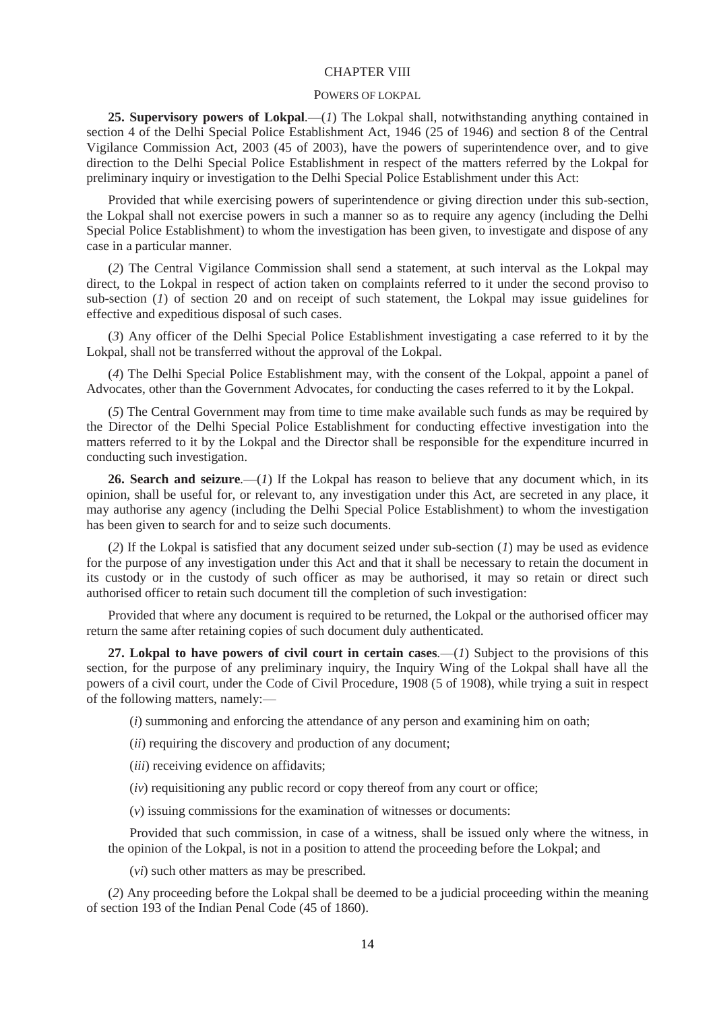## CHAPTER VIII

#### POWERS OF LOKPAL

**25. Supervisory powers of Lokpal***.*—(*1*) The Lokpal shall, notwithstanding anything contained in section 4 of the Delhi Special Police Establishment Act, 1946 (25 of 1946) and section 8 of the Central Vigilance Commission Act, 2003 (45 of 2003), have the powers of superintendence over, and to give direction to the Delhi Special Police Establishment in respect of the matters referred by the Lokpal for preliminary inquiry or investigation to the Delhi Special Police Establishment under this Act:

Provided that while exercising powers of superintendence or giving direction under this sub-section, the Lokpal shall not exercise powers in such a manner so as to require any agency (including the Delhi Special Police Establishment) to whom the investigation has been given, to investigate and dispose of any case in a particular manner.

(*2*) The Central Vigilance Commission shall send a statement, at such interval as the Lokpal may direct, to the Lokpal in respect of action taken on complaints referred to it under the second proviso to sub-section (*1*) of section 20 and on receipt of such statement, the Lokpal may issue guidelines for effective and expeditious disposal of such cases.

(*3*) Any officer of the Delhi Special Police Establishment investigating a case referred to it by the Lokpal, shall not be transferred without the approval of the Lokpal.

(*4*) The Delhi Special Police Establishment may, with the consent of the Lokpal, appoint a panel of Advocates, other than the Government Advocates, for conducting the cases referred to it by the Lokpal.

(*5*) The Central Government may from time to time make available such funds as may be required by the Director of the Delhi Special Police Establishment for conducting effective investigation into the matters referred to it by the Lokpal and the Director shall be responsible for the expenditure incurred in conducting such investigation.

**26.** Search and seizure.—(*1*) If the Lokpal has reason to believe that any document which, in its opinion, shall be useful for, or relevant to, any investigation under this Act, are secreted in any place, it may authorise any agency (including the Delhi Special Police Establishment) to whom the investigation has been given to search for and to seize such documents.

(*2*) If the Lokpal is satisfied that any document seized under sub-section (*1*) may be used as evidence for the purpose of any investigation under this Act and that it shall be necessary to retain the document in its custody or in the custody of such officer as may be authorised, it may so retain or direct such authorised officer to retain such document till the completion of such investigation:

Provided that where any document is required to be returned, the Lokpal or the authorised officer may return the same after retaining copies of such document duly authenticated.

**27. Lokpal to have powers of civil court in certain cases***.*—(*1*) Subject to the provisions of this section, for the purpose of any preliminary inquiry, the Inquiry Wing of the Lokpal shall have all the powers of a civil court, under the Code of Civil Procedure, 1908 (5 of 1908), while trying a suit in respect of the following matters, namely:—

(*i*) summoning and enforcing the attendance of any person and examining him on oath;

(*ii*) requiring the discovery and production of any document;

(*iii*) receiving evidence on affidavits;

(*iv*) requisitioning any public record or copy thereof from any court or office;

(*v*) issuing commissions for the examination of witnesses or documents:

Provided that such commission, in case of a witness, shall be issued only where the witness, in the opinion of the Lokpal, is not in a position to attend the proceeding before the Lokpal; and

(*vi*) such other matters as may be prescribed.

(*2*) Any proceeding before the Lokpal shall be deemed to be a judicial proceeding within the meaning of section 193 of the Indian Penal Code (45 of 1860).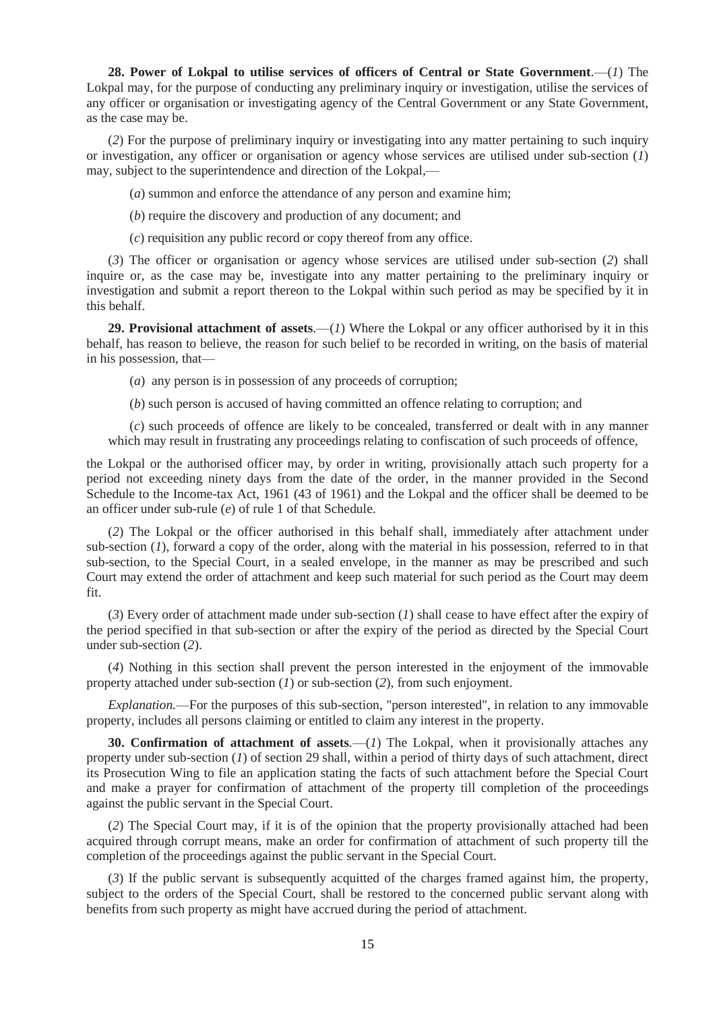**28. Power of Lokpal to utilise services of officers of Central or State Government***.*—(*1*) The Lokpal may, for the purpose of conducting any preliminary inquiry or investigation, utilise the services of any officer or organisation or investigating agency of the Central Government or any State Government, as the case may be.

(*2*) For the purpose of preliminary inquiry or investigating into any matter pertaining to such inquiry or investigation, any officer or organisation or agency whose services are utilised under sub-section (*1*) may, subject to the superintendence and direction of the Lokpal,—

(*a*) summon and enforce the attendance of any person and examine him;

(*b*) require the discovery and production of any document; and

(*c*) requisition any public record or copy thereof from any office.

(*3*) The officer or organisation or agency whose services are utilised under sub-section (*2*) shall inquire or, as the case may be, investigate into any matter pertaining to the preliminary inquiry or investigation and submit a report thereon to the Lokpal within such period as may be specified by it in this behalf.

**29. Provisional attachment of assets***.*—(*1*) Where the Lokpal or any officer authorised by it in this behalf, has reason to believe, the reason for such belief to be recorded in writing, on the basis of material in his possession, that—

(*a*) any person is in possession of any proceeds of corruption;

(*b*) such person is accused of having committed an offence relating to corruption; and

(*c*) such proceeds of offence are likely to be concealed, transferred or dealt with in any manner which may result in frustrating any proceedings relating to confiscation of such proceeds of offence.

the Lokpal or the authorised officer may, by order in writing, provisionally attach such property for a period not exceeding ninety days from the date of the order, in the manner provided in the Second Schedule to the Income-tax Act, 1961 (43 of 1961) and the Lokpal and the officer shall be deemed to be an officer under sub-rule (*e*) of rule 1 of that Schedule.

(*2*) The Lokpal or the officer authorised in this behalf shall, immediately after attachment under sub-section (*1*), forward a copy of the order, along with the material in his possession, referred to in that sub-section, to the Special Court, in a sealed envelope, in the manner as may be prescribed and such Court may extend the order of attachment and keep such material for such period as the Court may deem fit.

(*3*) Every order of attachment made under sub-section (*1*) shall cease to have effect after the expiry of the period specified in that sub-section or after the expiry of the period as directed by the Special Court under sub-section (*2*).

(*4*) Nothing in this section shall prevent the person interested in the enjoyment of the immovable property attached under sub-section (*1*) or sub-section (*2*), from such enjoyment.

*Explanation.*—For the purposes of this sub-section, "person interested", in relation to any immovable property, includes all persons claiming or entitled to claim any interest in the property.

**30. Confirmation of attachment of assets***.*—(*1*) The Lokpal, when it provisionally attaches any property under sub-section (*1*) of section 29 shall, within a period of thirty days of such attachment, direct its Prosecution Wing to file an application stating the facts of such attachment before the Special Court and make a prayer for confirmation of attachment of the property till completion of the proceedings against the public servant in the Special Court.

(*2*) The Special Court may, if it is of the opinion that the property provisionally attached had been acquired through corrupt means, make an order for confirmation of attachment of such property till the completion of the proceedings against the public servant in the Special Court.

(*3*) If the public servant is subsequently acquitted of the charges framed against him, the property, subject to the orders of the Special Court, shall be restored to the concerned public servant along with benefits from such property as might have accrued during the period of attachment.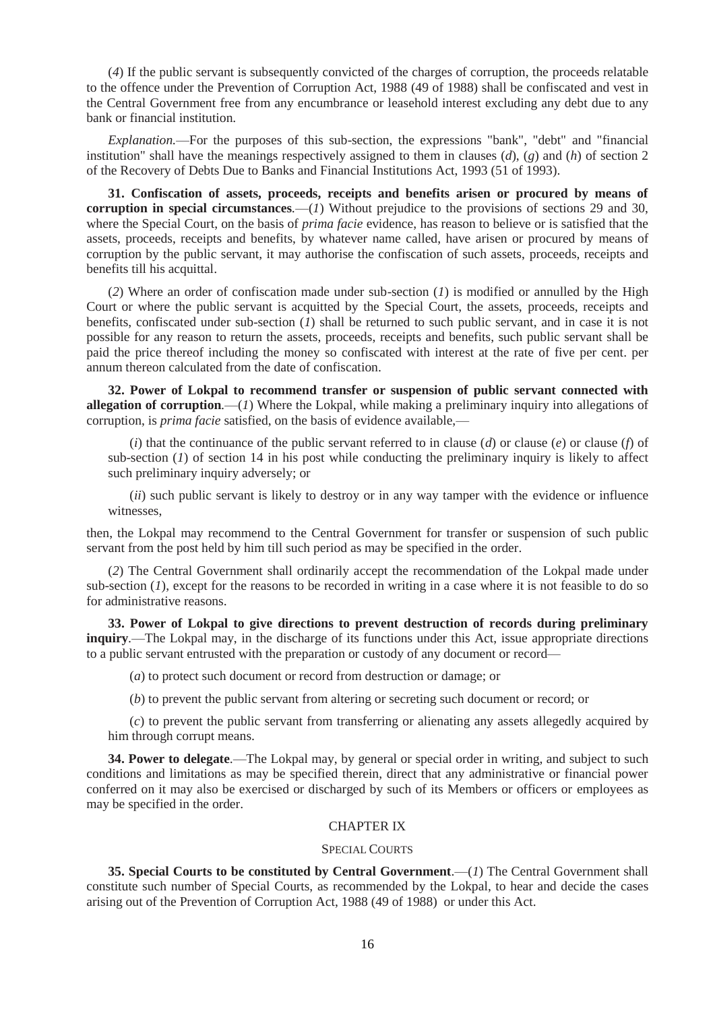(*4*) If the public servant is subsequently convicted of the charges of corruption, the proceeds relatable to the offence under the Prevention of Corruption Act, 1988 (49 of 1988) shall be confiscated and vest in the Central Government free from any encumbrance or leasehold interest excluding any debt due to any bank or financial institution.

*Explanation.*—For the purposes of this sub-section, the expressions "bank", "debt" and "financial institution" shall have the meanings respectively assigned to them in clauses (*d*), (*g*) and (*h*) of section 2 of the Recovery of Debts Due to Banks and Financial Institutions Act, 1993 (51 of 1993).

**31. Confiscation of assets, proceeds, receipts and benefits arisen or procured by means of corruption in special circumstances.**—(*1*) Without prejudice to the provisions of sections 29 and 30, where the Special Court, on the basis of *prima facie* evidence, has reason to believe or is satisfied that the assets, proceeds, receipts and benefits, by whatever name called, have arisen or procured by means of corruption by the public servant, it may authorise the confiscation of such assets, proceeds, receipts and benefits till his acquittal.

(*2*) Where an order of confiscation made under sub-section (*1*) is modified or annulled by the High Court or where the public servant is acquitted by the Special Court, the assets, proceeds, receipts and benefits, confiscated under sub-section (*1*) shall be returned to such public servant, and in case it is not possible for any reason to return the assets, proceeds, receipts and benefits, such public servant shall be paid the price thereof including the money so confiscated with interest at the rate of five per cent. per annum thereon calculated from the date of confiscation.

**32. Power of Lokpal to recommend transfer or suspension of public servant connected with allegation of corruption***.*—(*1*) Where the Lokpal, while making a preliminary inquiry into allegations of corruption, is *prima facie* satisfied, on the basis of evidence available,—

(*i*) that the continuance of the public servant referred to in clause (*d*) or clause (*e*) or clause (*f*) of sub-section  $(1)$  of section 14 in his post while conducting the preliminary inquiry is likely to affect such preliminary inquiry adversely; or

(*ii*) such public servant is likely to destroy or in any way tamper with the evidence or influence witnesses,

then, the Lokpal may recommend to the Central Government for transfer or suspension of such public servant from the post held by him till such period as may be specified in the order.

(*2*) The Central Government shall ordinarily accept the recommendation of the Lokpal made under sub-section (*1*), except for the reasons to be recorded in writing in a case where it is not feasible to do so for administrative reasons.

**33. Power of Lokpal to give directions to prevent destruction of records during preliminary inquiry***.*—The Lokpal may, in the discharge of its functions under this Act, issue appropriate directions to a public servant entrusted with the preparation or custody of any document or record—

(*a*) to protect such document or record from destruction or damage; or

(*b*) to prevent the public servant from altering or secreting such document or record; or

(*c*) to prevent the public servant from transferring or alienating any assets allegedly acquired by him through corrupt means.

**34. Power to delegate***.*—The Lokpal may, by general or special order in writing, and subject to such conditions and limitations as may be specified therein, direct that any administrative or financial power conferred on it may also be exercised or discharged by such of its Members or officers or employees as may be specified in the order.

# CHAPTER IX

#### SPECIAL COURTS

**35. Special Courts to be constituted by Central Government***.*—(*1*) The Central Government shall constitute such number of Special Courts, as recommended by the Lokpal, to hear and decide the cases arising out of the Prevention of Corruption Act, 1988 (49 of 1988) or under this Act.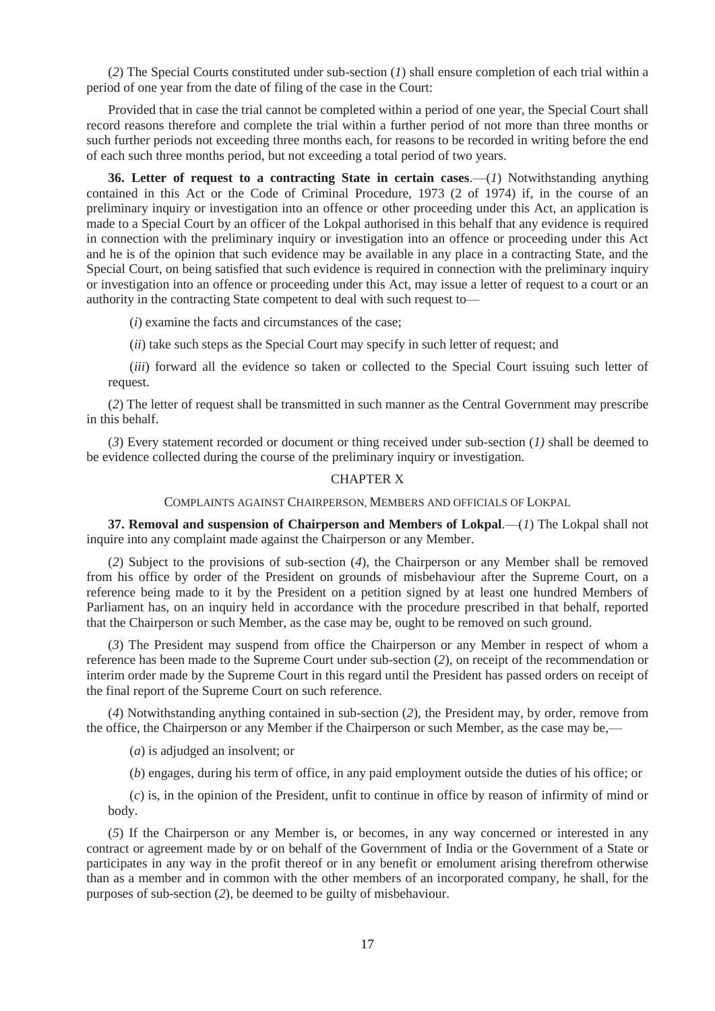(*2*) The Special Courts constituted under sub-section (*1*) shall ensure completion of each trial within a period of one year from the date of filing of the case in the Court:

Provided that in case the trial cannot be completed within a period of one year, the Special Court shall record reasons therefore and complete the trial within a further period of not more than three months or such further periods not exceeding three months each, for reasons to be recorded in writing before the end of each such three months period, but not exceeding a total period of two years.

**36. Letter of request to a contracting State in certain cases***.*—(*1*) Notwithstanding anything contained in this Act or the Code of Criminal Procedure, 1973 (2 of 1974) if, in the course of an preliminary inquiry or investigation into an offence or other proceeding under this Act, an application is made to a Special Court by an officer of the Lokpal authorised in this behalf that any evidence is required in connection with the preliminary inquiry or investigation into an offence or proceeding under this Act and he is of the opinion that such evidence may be available in any place in a contracting State, and the Special Court, on being satisfied that such evidence is required in connection with the preliminary inquiry or investigation into an offence or proceeding under this Act, may issue a letter of request to a court or an authority in the contracting State competent to deal with such request to—

(*i*) examine the facts and circumstances of the case;

(*ii*) take such steps as the Special Court may specify in such letter of request; and

(*iii*) forward all the evidence so taken or collected to the Special Court issuing such letter of request.

(*2*) The letter of request shall be transmitted in such manner as the Central Government may prescribe in this behalf.

(*3*) Every statement recorded or document or thing received under sub-section (*1)* shall be deemed to be evidence collected during the course of the preliminary inquiry or investigation.

## CHAPTER X

COMPLAINTS AGAINST CHAIRPERSON, MEMBERS AND OFFICIALS OF LOKPAL

**37. Removal and suspension of Chairperson and Members of Lokpal***.*—(*1*) The Lokpal shall not inquire into any complaint made against the Chairperson or any Member.

(*2*) Subject to the provisions of sub-section (*4*), the Chairperson or any Member shall be removed from his office by order of the President on grounds of misbehaviour after the Supreme Court, on a reference being made to it by the President on a petition signed by at least one hundred Members of Parliament has, on an inquiry held in accordance with the procedure prescribed in that behalf, reported that the Chairperson or such Member, as the case may be, ought to be removed on such ground.

(*3*) The President may suspend from office the Chairperson or any Member in respect of whom a reference has been made to the Supreme Court under sub-section (*2*), on receipt of the recommendation or interim order made by the Supreme Court in this regard until the President has passed orders on receipt of the final report of the Supreme Court on such reference.

(*4*) Notwithstanding anything contained in sub-section (*2*), the President may, by order, remove from the office, the Chairperson or any Member if the Chairperson or such Member, as the case may be,—

(*a*) is adjudged an insolvent; or

(*b*) engages, during his term of office, in any paid employment outside the duties of his office; or

(*c*) is, in the opinion of the President, unfit to continue in office by reason of infirmity of mind or body.

(*5*) If the Chairperson or any Member is, or becomes, in any way concerned or interested in any contract or agreement made by or on behalf of the Government of India or the Government of a State or participates in any way in the profit thereof or in any benefit or emolument arising therefrom otherwise than as a member and in common with the other members of an incorporated company, he shall, for the purposes of sub-section (*2*), be deemed to be guilty of misbehaviour.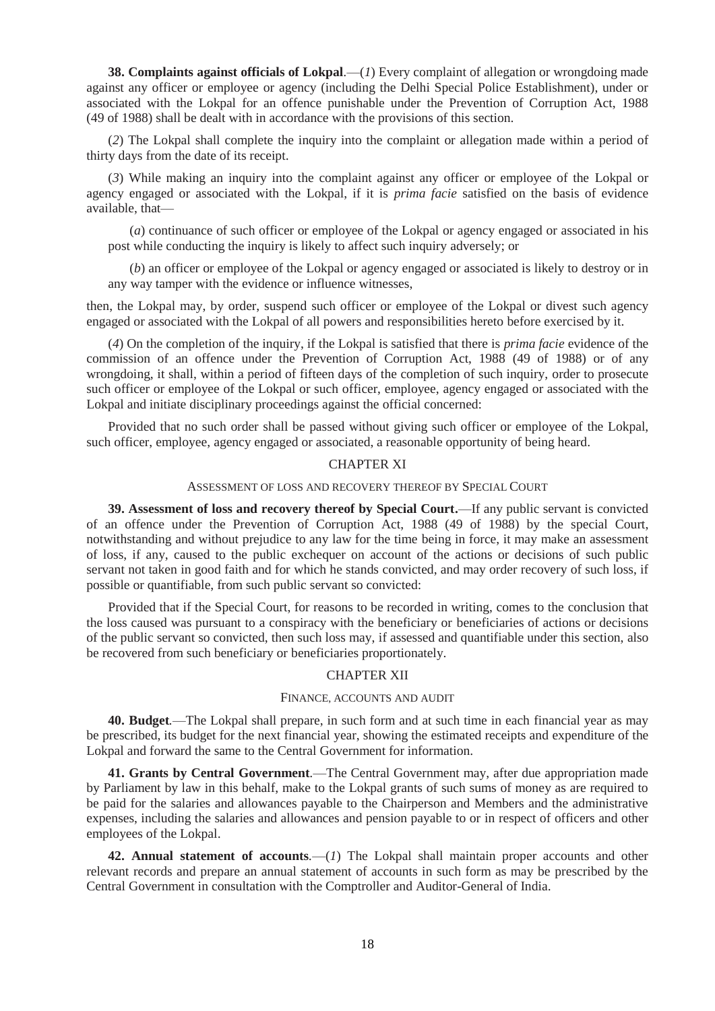**38. Complaints against officials of Lokpal***.*—(*1*) Every complaint of allegation or wrongdoing made against any officer or employee or agency (including the Delhi Special Police Establishment), under or associated with the Lokpal for an offence punishable under the Prevention of Corruption Act, 1988 (49 of 1988) shall be dealt with in accordance with the provisions of this section.

(*2*) The Lokpal shall complete the inquiry into the complaint or allegation made within a period of thirty days from the date of its receipt.

(*3*) While making an inquiry into the complaint against any officer or employee of the Lokpal or agency engaged or associated with the Lokpal, if it is *prima facie* satisfied on the basis of evidence available, that—

(*a*) continuance of such officer or employee of the Lokpal or agency engaged or associated in his post while conducting the inquiry is likely to affect such inquiry adversely; or

(*b*) an officer or employee of the Lokpal or agency engaged or associated is likely to destroy or in any way tamper with the evidence or influence witnesses,

then, the Lokpal may, by order, suspend such officer or employee of the Lokpal or divest such agency engaged or associated with the Lokpal of all powers and responsibilities hereto before exercised by it.

(*4*) On the completion of the inquiry, if the Lokpal is satisfied that there is *prima facie* evidence of the commission of an offence under the Prevention of Corruption Act, 1988 (49 of 1988) or of any wrongdoing, it shall, within a period of fifteen days of the completion of such inquiry, order to prosecute such officer or employee of the Lokpal or such officer, employee, agency engaged or associated with the Lokpal and initiate disciplinary proceedings against the official concerned:

Provided that no such order shall be passed without giving such officer or employee of the Lokpal, such officer, employee, agency engaged or associated, a reasonable opportunity of being heard.

## CHAPTER XI

#### ASSESSMENT OF LOSS AND RECOVERY THEREOF BY SPECIAL COURT

**39. Assessment of loss and recovery thereof by Special Court.**—If any public servant is convicted of an offence under the Prevention of Corruption Act, 1988 (49 of 1988) by the special Court, notwithstanding and without prejudice to any law for the time being in force, it may make an assessment of loss, if any, caused to the public exchequer on account of the actions or decisions of such public servant not taken in good faith and for which he stands convicted, and may order recovery of such loss, if possible or quantifiable, from such public servant so convicted:

Provided that if the Special Court, for reasons to be recorded in writing, comes to the conclusion that the loss caused was pursuant to a conspiracy with the beneficiary or beneficiaries of actions or decisions of the public servant so convicted, then such loss may, if assessed and quantifiable under this section, also be recovered from such beneficiary or beneficiaries proportionately.

# CHAPTER XII

#### FINANCE, ACCOUNTS AND AUDIT

**40. Budget***.*—The Lokpal shall prepare, in such form and at such time in each financial year as may be prescribed, its budget for the next financial year, showing the estimated receipts and expenditure of the Lokpal and forward the same to the Central Government for information.

**41. Grants by Central Government***.*—The Central Government may, after due appropriation made by Parliament by law in this behalf, make to the Lokpal grants of such sums of money as are required to be paid for the salaries and allowances payable to the Chairperson and Members and the administrative expenses, including the salaries and allowances and pension payable to or in respect of officers and other employees of the Lokpal.

**42. Annual statement of accounts***.*—(*1*) The Lokpal shall maintain proper accounts and other relevant records and prepare an annual statement of accounts in such form as may be prescribed by the Central Government in consultation with the Comptroller and Auditor-General of India.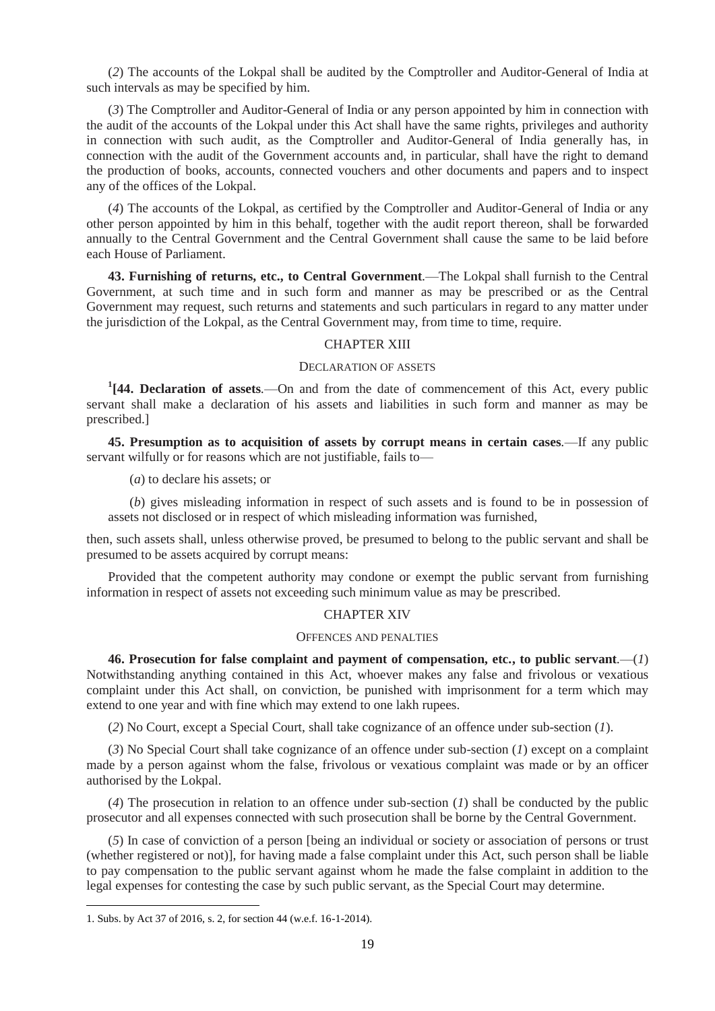(*2*) The accounts of the Lokpal shall be audited by the Comptroller and Auditor-General of India at such intervals as may be specified by him.

(*3*) The Comptroller and Auditor-General of India or any person appointed by him in connection with the audit of the accounts of the Lokpal under this Act shall have the same rights, privileges and authority in connection with such audit, as the Comptroller and Auditor-General of India generally has, in connection with the audit of the Government accounts and, in particular, shall have the right to demand the production of books, accounts, connected vouchers and other documents and papers and to inspect any of the offices of the Lokpal.

(*4*) The accounts of the Lokpal, as certified by the Comptroller and Auditor-General of India or any other person appointed by him in this behalf, together with the audit report thereon, shall be forwarded annually to the Central Government and the Central Government shall cause the same to be laid before each House of Parliament.

**43. Furnishing of returns, etc., to Central Government***.*—The Lokpal shall furnish to the Central Government, at such time and in such form and manner as may be prescribed or as the Central Government may request, such returns and statements and such particulars in regard to any matter under the jurisdiction of the Lokpal, as the Central Government may, from time to time, require.

### CHAPTER XIII

#### DECLARATION OF ASSETS

**1 [44. Declaration of assets***.*—On and from the date of commencement of this Act, every public servant shall make a declaration of his assets and liabilities in such form and manner as may be prescribed.]

**45. Presumption as to acquisition of assets by corrupt means in certain cases***.*—If any public servant wilfully or for reasons which are not justifiable, fails to—

(*a*) to declare his assets; or

(*b*) gives misleading information in respect of such assets and is found to be in possession of assets not disclosed or in respect of which misleading information was furnished,

then, such assets shall, unless otherwise proved, be presumed to belong to the public servant and shall be presumed to be assets acquired by corrupt means:

Provided that the competent authority may condone or exempt the public servant from furnishing information in respect of assets not exceeding such minimum value as may be prescribed.

# CHAPTER XIV

#### OFFENCES AND PENALTIES

**46. Prosecution for false complaint and payment of compensation, etc., to public servant***.*—(*1*) Notwithstanding anything contained in this Act, whoever makes any false and frivolous or vexatious complaint under this Act shall, on conviction, be punished with imprisonment for a term which may extend to one year and with fine which may extend to one lakh rupees.

(*2*) No Court, except a Special Court, shall take cognizance of an offence under sub-section (*1*).

(*3*) No Special Court shall take cognizance of an offence under sub-section (*1*) except on a complaint made by a person against whom the false, frivolous or vexatious complaint was made or by an officer authorised by the Lokpal.

(*4*) The prosecution in relation to an offence under sub-section (*1*) shall be conducted by the public prosecutor and all expenses connected with such prosecution shall be borne by the Central Government.

(*5*) In case of conviction of a person [being an individual or society or association of persons or trust (whether registered or not)], for having made a false complaint under this Act, such person shall be liable to pay compensation to the public servant against whom he made the false complaint in addition to the legal expenses for contesting the case by such public servant, as the Special Court may determine.

**.** 

<sup>1.</sup> Subs. by Act 37 of 2016, s. 2, for section 44 (w.e.f. 16-1-2014).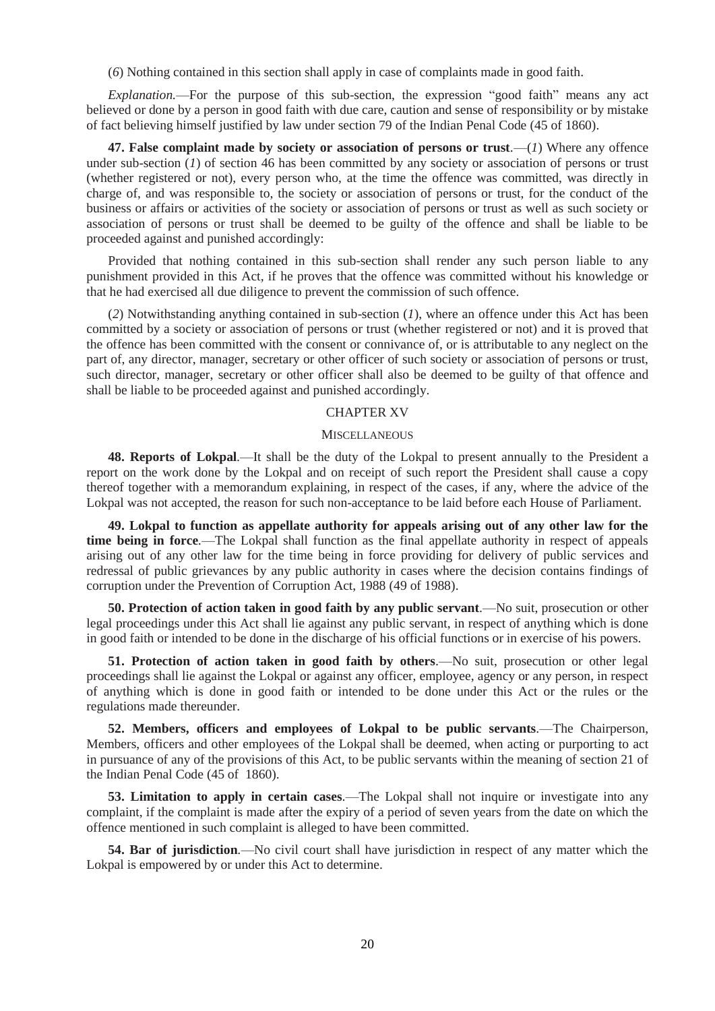(*6*) Nothing contained in this section shall apply in case of complaints made in good faith.

*Explanation.*—For the purpose of this sub-section, the expression "good faith" means any act believed or done by a person in good faith with due care, caution and sense of responsibility or by mistake of fact believing himself justified by law under section 79 of the Indian Penal Code (45 of 1860).

**47. False complaint made by society or association of persons or trust***.*—(*1*) Where any offence under sub-section (*1*) of section 46 has been committed by any society or association of persons or trust (whether registered or not), every person who, at the time the offence was committed, was directly in charge of, and was responsible to, the society or association of persons or trust, for the conduct of the business or affairs or activities of the society or association of persons or trust as well as such society or association of persons or trust shall be deemed to be guilty of the offence and shall be liable to be proceeded against and punished accordingly:

Provided that nothing contained in this sub-section shall render any such person liable to any punishment provided in this Act, if he proves that the offence was committed without his knowledge or that he had exercised all due diligence to prevent the commission of such offence.

(*2*) Notwithstanding anything contained in sub-section (*1*), where an offence under this Act has been committed by a society or association of persons or trust (whether registered or not) and it is proved that the offence has been committed with the consent or connivance of, or is attributable to any neglect on the part of, any director, manager, secretary or other officer of such society or association of persons or trust, such director, manager, secretary or other officer shall also be deemed to be guilty of that offence and shall be liable to be proceeded against and punished accordingly.

## CHAPTER XV

#### **MISCELLANEOUS**

**48. Reports of Lokpal***.*—It shall be the duty of the Lokpal to present annually to the President a report on the work done by the Lokpal and on receipt of such report the President shall cause a copy thereof together with a memorandum explaining, in respect of the cases, if any, where the advice of the Lokpal was not accepted, the reason for such non-acceptance to be laid before each House of Parliament.

**49. Lokpal to function as appellate authority for appeals arising out of any other law for the time being in force***.*—The Lokpal shall function as the final appellate authority in respect of appeals arising out of any other law for the time being in force providing for delivery of public services and redressal of public grievances by any public authority in cases where the decision contains findings of corruption under the Prevention of Corruption Act, 1988 (49 of 1988).

**50. Protection of action taken in good faith by any public servant***.*—No suit, prosecution or other legal proceedings under this Act shall lie against any public servant, in respect of anything which is done in good faith or intended to be done in the discharge of his official functions or in exercise of his powers.

**51. Protection of action taken in good faith by others***.*—No suit, prosecution or other legal proceedings shall lie against the Lokpal or against any officer, employee, agency or any person, in respect of anything which is done in good faith or intended to be done under this Act or the rules or the regulations made thereunder.

**52. Members, officers and employees of Lokpal to be public servants***.*—The Chairperson, Members, officers and other employees of the Lokpal shall be deemed, when acting or purporting to act in pursuance of any of the provisions of this Act, to be public servants within the meaning of section 21 of the Indian Penal Code (45 of 1860).

**53. Limitation to apply in certain cases***.*—The Lokpal shall not inquire or investigate into any complaint, if the complaint is made after the expiry of a period of seven years from the date on which the offence mentioned in such complaint is alleged to have been committed.

**54. Bar of jurisdiction***.*—No civil court shall have jurisdiction in respect of any matter which the Lokpal is empowered by or under this Act to determine.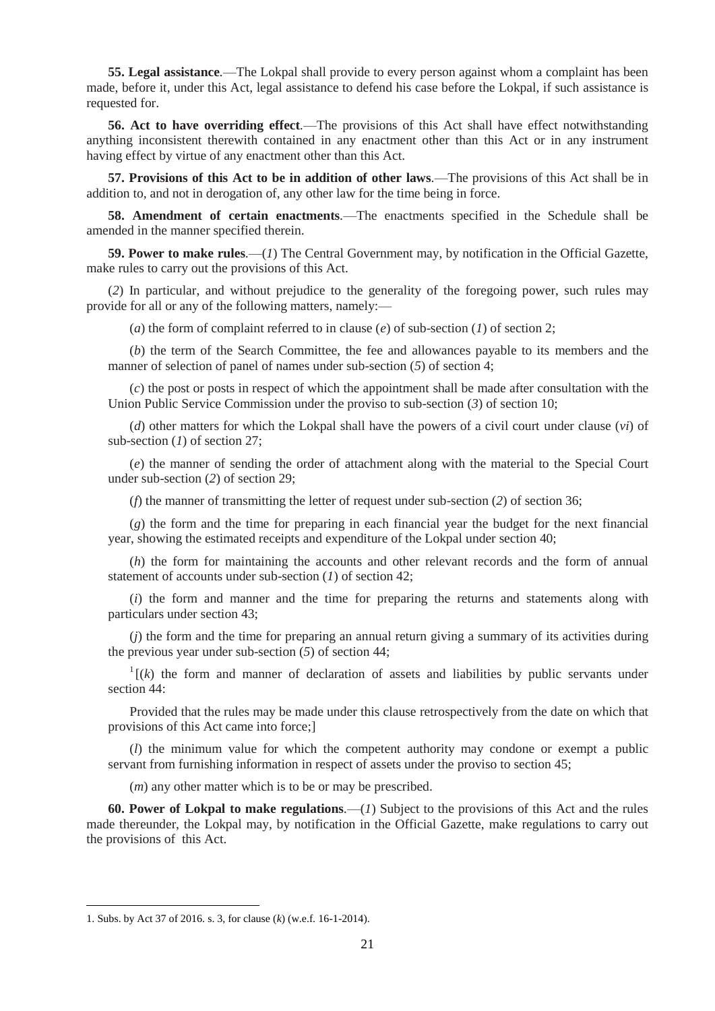**55. Legal assistance***.*—The Lokpal shall provide to every person against whom a complaint has been made, before it, under this Act, legal assistance to defend his case before the Lokpal, if such assistance is requested for.

**56. Act to have overriding effect***.*—The provisions of this Act shall have effect notwithstanding anything inconsistent therewith contained in any enactment other than this Act or in any instrument having effect by virtue of any enactment other than this Act.

**57. Provisions of this Act to be in addition of other laws***.*—The provisions of this Act shall be in addition to, and not in derogation of, any other law for the time being in force.

**58. Amendment of certain enactments***.*—The enactments specified in the Schedule shall be amended in the manner specified therein.

**59. Power to make rules***.*—(*1*) The Central Government may, by notification in the Official Gazette, make rules to carry out the provisions of this Act.

(*2*) In particular, and without prejudice to the generality of the foregoing power, such rules may provide for all or any of the following matters, namely:—

(*a*) the form of complaint referred to in clause (*e*) of sub-section (*1*) of section 2;

(*b*) the term of the Search Committee, the fee and allowances payable to its members and the manner of selection of panel of names under sub-section (5) of section 4;

(*c*) the post or posts in respect of which the appointment shall be made after consultation with the Union Public Service Commission under the proviso to sub-section (*3*) of section 10;

(*d*) other matters for which the Lokpal shall have the powers of a civil court under clause (*vi*) of sub-section (*1*) of section 27;

(*e*) the manner of sending the order of attachment along with the material to the Special Court under sub-section (*2*) of section 29;

(*f*) the manner of transmitting the letter of request under sub-section (*2*) of section 36;

(*g*) the form and the time for preparing in each financial year the budget for the next financial year, showing the estimated receipts and expenditure of the Lokpal under section 40;

(*h*) the form for maintaining the accounts and other relevant records and the form of annual statement of accounts under sub-section (*1*) of section 42;

(*i*) the form and manner and the time for preparing the returns and statements along with particulars under section 43;

(*j*) the form and the time for preparing an annual return giving a summary of its activities during the previous year under sub-section (*5*) of section 44;

 $\frac{1}{k}$  (*k*) the form and manner of declaration of assets and liabilities by public servants under section 44:

Provided that the rules may be made under this clause retrospectively from the date on which that provisions of this Act came into force;]

(*l*) the minimum value for which the competent authority may condone or exempt a public servant from furnishing information in respect of assets under the proviso to section 45;

(*m*) any other matter which is to be or may be prescribed.

**60. Power of Lokpal to make regulations***.*—(*1*) Subject to the provisions of this Act and the rules made thereunder, the Lokpal may, by notification in the Official Gazette, make regulations to carry out the provisions of this Act.

**.** 

<sup>1.</sup> Subs. by Act 37 of 2016. s. 3, for clause (*k*) (w.e.f. 16-1-2014).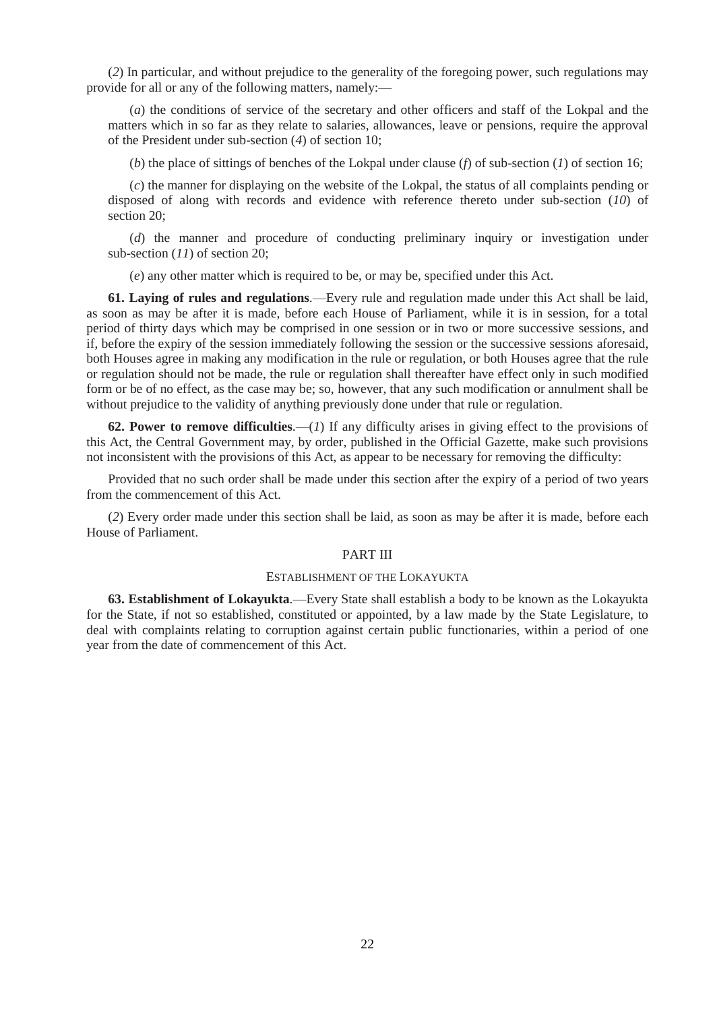(*2*) In particular, and without prejudice to the generality of the foregoing power, such regulations may provide for all or any of the following matters, namely:—

(*a*) the conditions of service of the secretary and other officers and staff of the Lokpal and the matters which in so far as they relate to salaries, allowances, leave or pensions, require the approval of the President under sub-section (*4*) of section 10;

(*b*) the place of sittings of benches of the Lokpal under clause (*f*) of sub-section (*1*) of section 16;

(*c*) the manner for displaying on the website of the Lokpal, the status of all complaints pending or disposed of along with records and evidence with reference thereto under sub-section (*10*) of section 20;

(*d*) the manner and procedure of conducting preliminary inquiry or investigation under sub-section (*11*) of section 20;

(*e*) any other matter which is required to be, or may be, specified under this Act.

**61. Laying of rules and regulations***.*—Every rule and regulation made under this Act shall be laid, as soon as may be after it is made, before each House of Parliament, while it is in session, for a total period of thirty days which may be comprised in one session or in two or more successive sessions, and if, before the expiry of the session immediately following the session or the successive sessions aforesaid, both Houses agree in making any modification in the rule or regulation, or both Houses agree that the rule or regulation should not be made, the rule or regulation shall thereafter have effect only in such modified form or be of no effect, as the case may be; so, however, that any such modification or annulment shall be without prejudice to the validity of anything previously done under that rule or regulation.

**62. Power to remove difficulties***.*—(*1*) If any difficulty arises in giving effect to the provisions of this Act, the Central Government may, by order, published in the Official Gazette, make such provisions not inconsistent with the provisions of this Act, as appear to be necessary for removing the difficulty:

Provided that no such order shall be made under this section after the expiry of a period of two years from the commencement of this Act.

(*2*) Every order made under this section shall be laid, as soon as may be after it is made, before each House of Parliament.

# PART III

#### ESTABLISHMENT OF THE LOKAYUKTA

**63. Establishment of Lokayukta***.*—Every State shall establish a body to be known as the Lokayukta for the State, if not so established, constituted or appointed, by a law made by the State Legislature, to deal with complaints relating to corruption against certain public functionaries, within a period of one year from the date of commencement of this Act.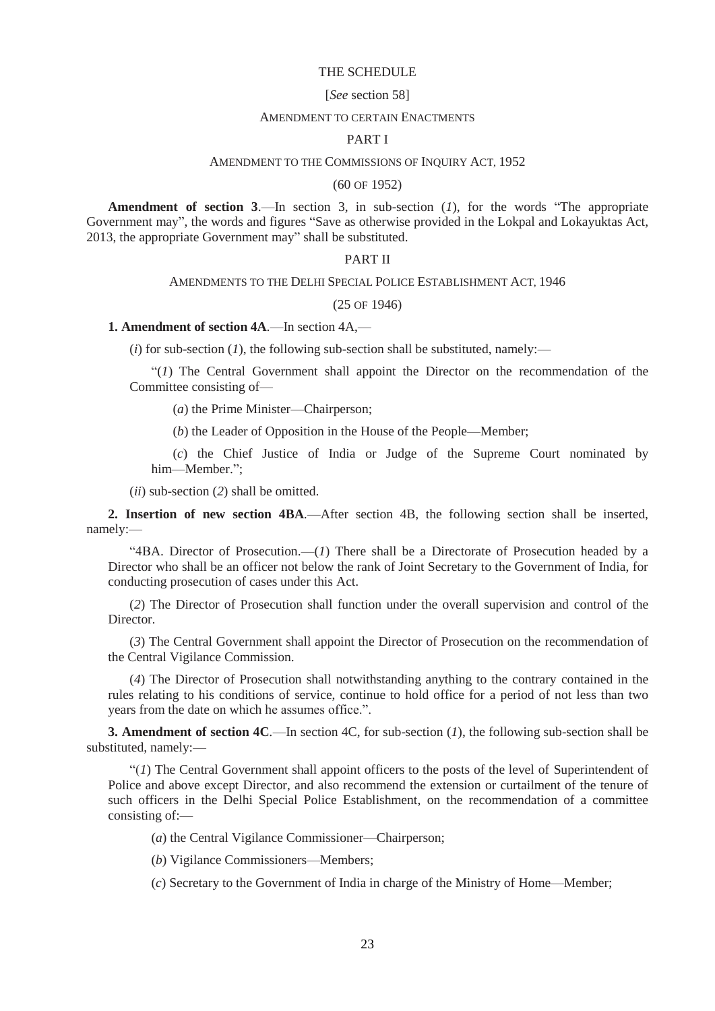#### THE SCHEDULE

#### [*See* section 58]

#### AMENDMENT TO CERTAIN ENACTMENTS

# PART I

#### AMENDMENT TO THE COMMISSIONS OF INQUIRY ACT, 1952

#### (60 OF 1952)

**Amendment of section 3**.—In section 3, in sub-section (*1*), for the words "The appropriate Government may", the words and figures "Save as otherwise provided in the Lokpal and Lokayuktas Act, 2013, the appropriate Government may" shall be substituted.

#### PART II

## AMENDMENTS TO THE DELHI SPECIAL POLICE ESTABLISHMENT ACT, 1946

#### (25 OF 1946)

### **1. Amendment of section 4A***.*—In section 4A,—

(*i*) for sub-section (*1*), the following sub-section shall be substituted, namely:—

"(*1*) The Central Government shall appoint the Director on the recommendation of the Committee consisting of—

(*a*) the Prime Minister—Chairperson;

(*b*) the Leader of Opposition in the House of the People—Member;

(*c*) the Chief Justice of India or Judge of the Supreme Court nominated by him—Member.":

(*ii*) sub-section (*2*) shall be omitted.

**2. Insertion of new section 4BA***.*—After section 4B, the following section shall be inserted, namely:—

"4BA. Director of Prosecution.—(*1*) There shall be a Directorate of Prosecution headed by a Director who shall be an officer not below the rank of Joint Secretary to the Government of India, for conducting prosecution of cases under this Act.

(*2*) The Director of Prosecution shall function under the overall supervision and control of the Director.

(*3*) The Central Government shall appoint the Director of Prosecution on the recommendation of the Central Vigilance Commission.

(*4*) The Director of Prosecution shall notwithstanding anything to the contrary contained in the rules relating to his conditions of service, continue to hold office for a period of not less than two years from the date on which he assumes office.".

**3. Amendment of section 4C***.*—In section 4C, for sub-section (*1*), the following sub-section shall be substituted, namely:—

"(*1*) The Central Government shall appoint officers to the posts of the level of Superintendent of Police and above except Director, and also recommend the extension or curtailment of the tenure of such officers in the Delhi Special Police Establishment, on the recommendation of a committee consisting of:—

(*a*) the Central Vigilance Commissioner—Chairperson;

(*b*) Vigilance Commissioners—Members;

(*c*) Secretary to the Government of India in charge of the Ministry of Home—Member;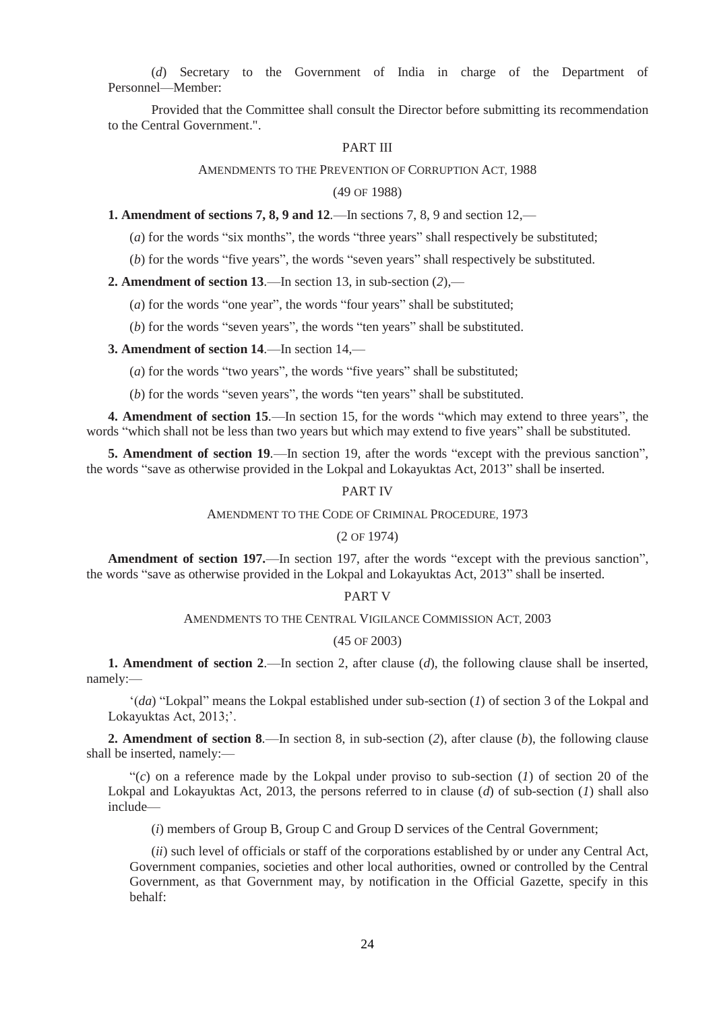(*d*) Secretary to the Government of India in charge of the Department of Personnel—Member:

Provided that the Committee shall consult the Director before submitting its recommendation to the Central Government.".

### PART III

#### AMENDMENTS TO THE PREVENTION OF CORRUPTION ACT, 1988

## (49 OF 1988)

#### **1. Amendment of sections 7, 8, 9 and 12***.*—In sections 7, 8, 9 and section 12,—

(*a*) for the words "six months", the words "three years" shall respectively be substituted;

(*b*) for the words "five years", the words "seven years" shall respectively be substituted.

**2. Amendment of section 13***.*—In section 13, in sub-section (*2*),—

- (*a*) for the words "one year", the words "four years" shall be substituted;
- (*b*) for the words "seven years", the words "ten years" shall be substituted.

#### **3. Amendment of section 14***.*—In section 14,—

(*a*) for the words "two years", the words "five years" shall be substituted;

(*b*) for the words "seven years", the words "ten years" shall be substituted.

**4. Amendment of section 15***.*—In section 15, for the words "which may extend to three years", the words "which shall not be less than two years but which may extend to five years" shall be substituted.

**5. Amendment of section 19***.*—In section 19, after the words "except with the previous sanction", the words "save as otherwise provided in the Lokpal and Lokayuktas Act, 2013" shall be inserted.

## PART IV

AMENDMENT TO THE CODE OF CRIMINAL PROCEDURE, 1973

## (2 OF 1974)

**Amendment of section 197.**—In section 197, after the words "except with the previous sanction", the words "save as otherwise provided in the Lokpal and Lokayuktas Act, 2013" shall be inserted.

#### PART V

AMENDMENTS TO THE CENTRAL VIGILANCE COMMISSION ACT, 2003

### (45 OF 2003)

**1. Amendment of section 2***.*—In section 2, after clause (*d*), the following clause shall be inserted, namely:—

"(*da*) "Lokpal" means the Lokpal established under sub-section (*1*) of section 3 of the Lokpal and Lokayuktas Act, 2013;'.

**2. Amendment of section 8***.*—In section 8, in sub-section (*2*), after clause (*b*), the following clause shall be inserted, namely:—

"(*c*) on a reference made by the Lokpal under proviso to sub-section (*1*) of section 20 of the Lokpal and Lokayuktas Act, 2013, the persons referred to in clause (*d*) of sub-section (*1*) shall also include—

(*i*) members of Group B, Group C and Group D services of the Central Government;

(*ii*) such level of officials or staff of the corporations established by or under any Central Act, Government companies, societies and other local authorities, owned or controlled by the Central Government, as that Government may, by notification in the Official Gazette, specify in this behalf: